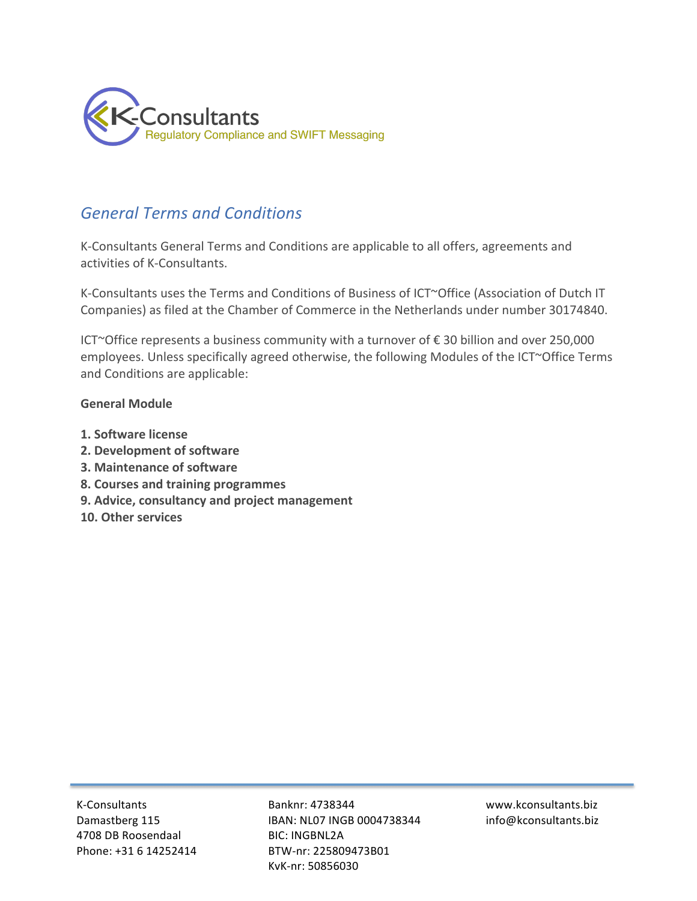

# *General!Terms!and!Conditions!*

K-Consultants General Terms and Conditions are applicable to all offers, agreements and activities of K-Consultants.

K-Consultants uses the Terms and Conditions of Business of ICT~Office (Association of Dutch IT Companies) as filed at the Chamber of Commerce in the Netherlands under number 30174840.

ICT~Office represents a business community with a turnover of € 30 billion and over 250,000 employees. Unless specifically agreed otherwise, the following Modules of the ICT~Office Terms and Conditions are applicable:

# **General'Module'**

- **1.'Software'license'**
- **2. Development of software**
- **3. Maintenance of software**
- **8. Courses and training programmes**
- **9. Advice, consultancy and project management**
- 10. Other services

**K-Consultants** Damastberg 115 4708 DB Roosendaal Phone: +31 6 14252414 Banknr: 4738344 IBAN: NL07 INGB 0004738344 BIC: INGBNL2A BTW-nr: 225809473B01 KvK-nr: 50856030

www.kconsultants.biz! info@kconsultants.biz!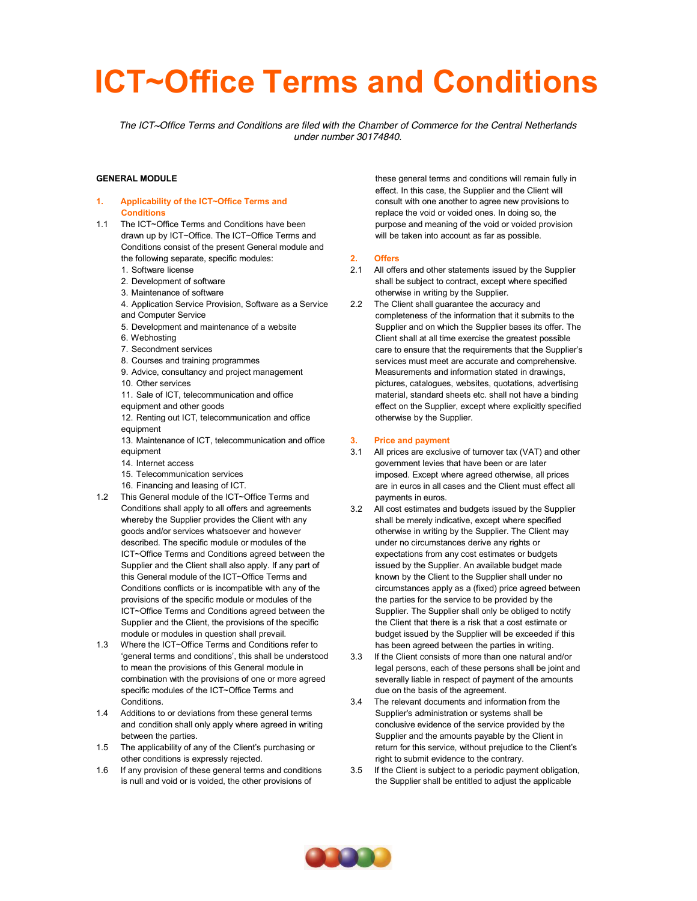# **ICT~Office Terms and Conditions**

*The ICT~Office Terms and Conditions are filed with the Chamber of Commerce for the Central Netherlands under number 30174840.* 

#### **GENERAL MODULE**

- **1. Applicability of the ICT~Office Terms and Conditions**
- 1.1 The ICT~Office Terms and Conditions have been drawn up by ICT~Office. The ICT~Office Terms and Conditions consist of the present General module and the following separate, specific modules:
	- 1. Software license
	- 2. Development of software
	- 3. Maintenance of software
	- 4. Application Service Provision, Software as a Service and Computer Service
	- 5. Development and maintenance of a website
	- 6. Webhosting
	- 7. Secondment services
	- 8. Courses and training programmes
	- 9. Advice, consultancy and project management
	- 10. Other services
	- 11. Sale of ICT, telecommunication and office
	- equipment and other goods 12. Renting out ICT, telecommunication and office
	- equipment
	- 13. Maintenance of ICT, telecommunication and office equipment
	- 14. Internet access
	- 15. Telecommunication services
	- 16. Financing and leasing of ICT.
- 1.2 This General module of the ICT~Office Terms and Conditions shall apply to all offers and agreements whereby the Supplier provides the Client with any goods and/or services whatsoever and however described. The specific module or modules of the ICT~Office Terms and Conditions agreed between the Supplier and the Client shall also apply. If any part of this General module of the ICT~Office Terms and Conditions conflicts or is incompatible with any of the provisions of the specific module or modules of the ICT~Office Terms and Conditions agreed between the Supplier and the Client, the provisions of the specific module or modules in question shall prevail.
- 1.3 Where the ICT~Office Terms and Conditions refer to 'general terms and conditions', this shall be understood to mean the provisions of this General module in combination with the provisions of one or more agreed specific modules of the ICT~Office Terms and **Conditions**
- 1.4 Additions to or deviations from these general terms and condition shall only apply where agreed in writing between the parties.
- 1.5 The applicability of any of the Client's purchasing or other conditions is expressly rejected.
- 1.6 If any provision of these general terms and conditions is null and void or is voided, the other provisions of

these general terms and conditions will remain fully in effect. In this case, the Supplier and the Client will consult with one another to agree new provisions to replace the void or voided ones. In doing so, the purpose and meaning of the void or voided provision will be taken into account as far as possible.

#### **2. Offers**

- 2.1 All offers and other statements issued by the Supplier shall be subject to contract, except where specified otherwise in writing by the Supplier.
- 2.2 The Client shall guarantee the accuracy and completeness of the information that it submits to the Supplier and on which the Supplier bases its offer. The Client shall at all time exercise the greatest possible care to ensure that the requirements that the Supplier's services must meet are accurate and comprehensive. Measurements and information stated in drawings, pictures, catalogues, websites, quotations, advertising material, standard sheets etc. shall not have a binding effect on the Supplier, except where explicitly specified otherwise by the Supplier.

#### **3. Price and payment**

- 3.1 All prices are exclusive of turnover tax (VAT) and other government levies that have been or are later imposed. Except where agreed otherwise, all prices are in euros in all cases and the Client must effect all payments in euros.
- 3.2 All cost estimates and budgets issued by the Supplier shall be merely indicative, except where specified otherwise in writing by the Supplier. The Client may under no circumstances derive any rights or expectations from any cost estimates or budgets issued by the Supplier. An available budget made known by the Client to the Supplier shall under no circumstances apply as a (fixed) price agreed between the parties for the service to be provided by the Supplier. The Supplier shall only be obliged to notify the Client that there is a risk that a cost estimate or budget issued by the Supplier will be exceeded if this has been agreed between the parties in writing.
- 3.3 If the Client consists of more than one natural and/or legal persons, each of these persons shall be joint and severally liable in respect of payment of the amounts due on the basis of the agreement.
- 3.4 The relevant documents and information from the Supplier's administration or systems shall be conclusive evidence of the service provided by the Supplier and the amounts payable by the Client in return for this service, without prejudice to the Client's right to submit evidence to the contrary.
- 3.5 If the Client is subject to a periodic payment obligation, the Supplier shall be entitled to adjust the applicable

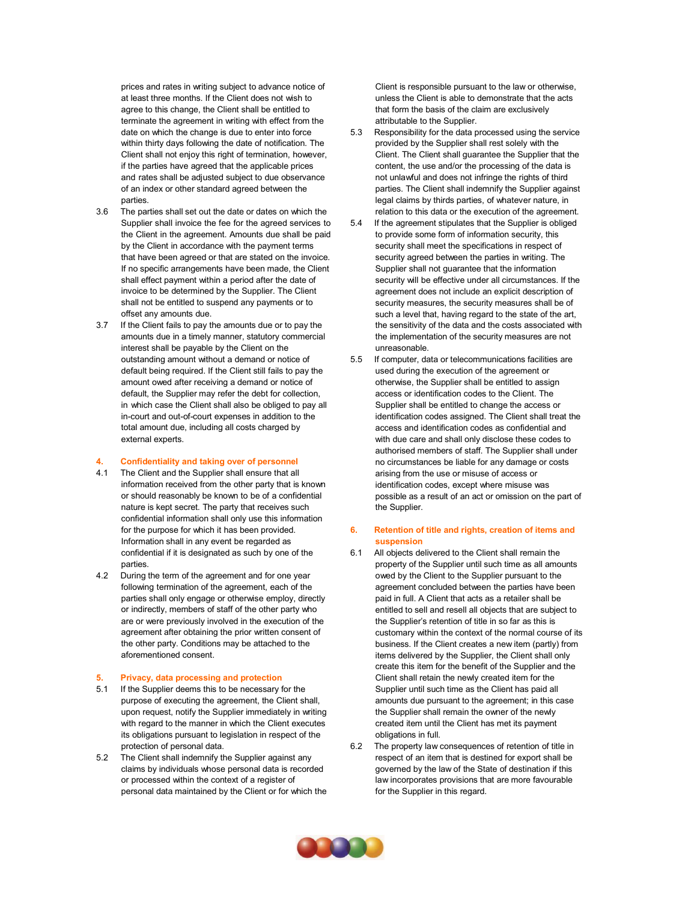prices and rates in writing subject to advance notice of at least three months. If the Client does not wish to agree to this change, the Client shall be entitled to terminate the agreement in writing with effect from the date on which the change is due to enter into force within thirty days following the date of notification. The Client shall not enjoy this right of termination, however, if the parties have agreed that the applicable prices and rates shall be adjusted subject to due observance of an index or other standard agreed between the parties.

- 3.6 The parties shall set out the date or dates on which the Supplier shall invoice the fee for the agreed services to the Client in the agreement. Amounts due shall be paid by the Client in accordance with the payment terms that have been agreed or that are stated on the invoice. If no specific arrangements have been made, the Client shall effect payment within a period after the date of invoice to be determined by the Supplier. The Client shall not be entitled to suspend any payments or to offset any amounts due.
- 3.7 If the Client fails to pay the amounts due or to pay the amounts due in a timely manner, statutory commercial interest shall be payable by the Client on the outstanding amount without a demand or notice of default being required. If the Client still fails to pay the amount owed after receiving a demand or notice of default, the Supplier may refer the debt for collection, in which case the Client shall also be obliged to pay all in-court and out-of-court expenses in addition to the total amount due, including all costs charged by external experts.

#### **4. Confidentiality and taking over of personnel**

- 4.1 The Client and the Supplier shall ensure that all information received from the other party that is known or should reasonably be known to be of a confidential nature is kept secret. The party that receives such confidential information shall only use this information for the purpose for which it has been provided. Information shall in any event be regarded as confidential if it is designated as such by one of the parties.
- 4.2 During the term of the agreement and for one year following termination of the agreement, each of the parties shall only engage or otherwise employ, directly or indirectly, members of staff of the other party who are or were previously involved in the execution of the agreement after obtaining the prior written consent of the other party. Conditions may be attached to the aforementioned consent.

#### **5. Privacy, data processing and protection**

- 5.1 If the Supplier deems this to be necessary for the purpose of executing the agreement, the Client shall, upon request, notify the Supplier immediately in writing with regard to the manner in which the Client executes its obligations pursuant to legislation in respect of the protection of personal data.
- 5.2 The Client shall indemnify the Supplier against any claims by individuals whose personal data is recorded or processed within the context of a register of personal data maintained by the Client or for which the

Client is responsible pursuant to the law or otherwise, unless the Client is able to demonstrate that the acts that form the basis of the claim are exclusively attributable to the Supplier.

- 5.3 Responsibility for the data processed using the service provided by the Supplier shall rest solely with the Client. The Client shall guarantee the Supplier that the content, the use and/or the processing of the data is not unlawful and does not infringe the rights of third parties. The Client shall indemnify the Supplier against legal claims by thirds parties, of whatever nature, in relation to this data or the execution of the agreement.
- 5.4 If the agreement stipulates that the Supplier is obliged to provide some form of information security, this security shall meet the specifications in respect of security agreed between the parties in writing. The Supplier shall not guarantee that the information security will be effective under all circumstances. If the agreement does not include an explicit description of security measures, the security measures shall be of such a level that, having regard to the state of the art, the sensitivity of the data and the costs associated with the implementation of the security measures are not unreasonable.
- 5.5 If computer, data or telecommunications facilities are used during the execution of the agreement or otherwise, the Supplier shall be entitled to assign access or identification codes to the Client. The Supplier shall be entitled to change the access or identification codes assigned. The Client shall treat the access and identification codes as confidential and with due care and shall only disclose these codes to authorised members of staff. The Supplier shall under no circumstances be liable for any damage or costs arising from the use or misuse of access or identification codes, except where misuse was possible as a result of an act or omission on the part of the Supplier.

#### **6. Retention of title and rights, creation of items and suspension**

- 6.1 All objects delivered to the Client shall remain the property of the Supplier until such time as all amounts owed by the Client to the Supplier pursuant to the agreement concluded between the parties have been paid in full. A Client that acts as a retailer shall be entitled to sell and resell all objects that are subject to the Supplier's retention of title in so far as this is customary within the context of the normal course of its business. If the Client creates a new item (partly) from items delivered by the Supplier, the Client shall only create this item for the benefit of the Supplier and the Client shall retain the newly created item for the Supplier until such time as the Client has paid all amounts due pursuant to the agreement; in this case the Supplier shall remain the owner of the newly created item until the Client has met its payment obligations in full.
- 6.2 The property law consequences of retention of title in respect of an item that is destined for export shall be governed by the law of the State of destination if this law incorporates provisions that are more favourable for the Supplier in this regard.

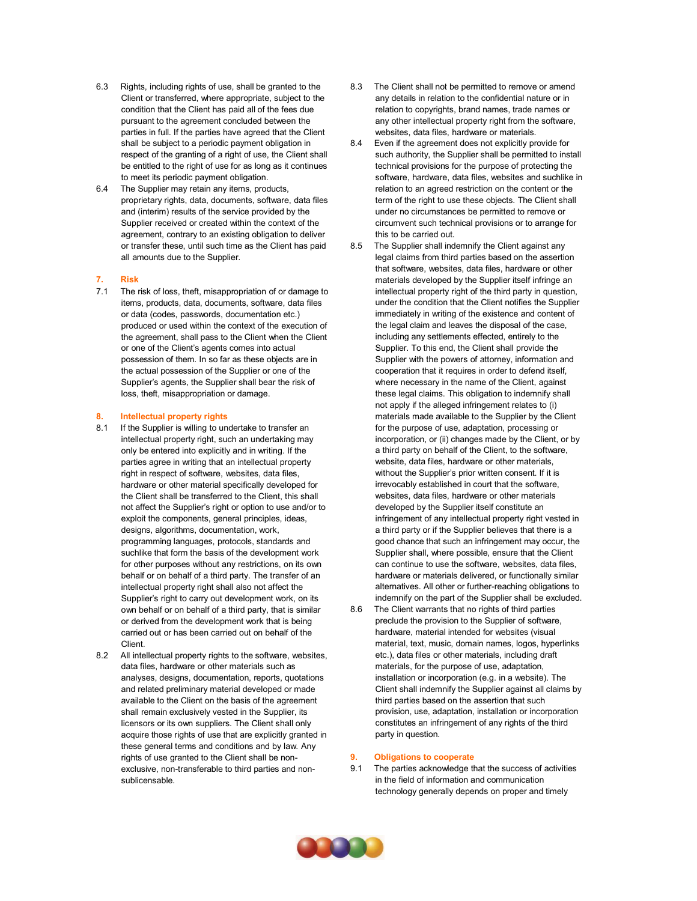- 6.3 Rights, including rights of use, shall be granted to the Client or transferred, where appropriate, subject to the condition that the Client has paid all of the fees due pursuant to the agreement concluded between the parties in full. If the parties have agreed that the Client shall be subject to a periodic payment obligation in respect of the granting of a right of use, the Client shall be entitled to the right of use for as long as it continues to meet its periodic payment obligation.
- 6.4 The Supplier may retain any items, products, proprietary rights, data, documents, software, data files and (interim) results of the service provided by the Supplier received or created within the context of the agreement, contrary to an existing obligation to deliver or transfer these, until such time as the Client has paid all amounts due to the Supplier.
- **7. Risk**
- 7.1 The risk of loss, theft, misappropriation of or damage to items, products, data, documents, software, data files or data (codes, passwords, documentation etc.) produced or used within the context of the execution of the agreement, shall pass to the Client when the Client or one of the Client's agents comes into actual possession of them. In so far as these objects are in the actual possession of the Supplier or one of the Supplier's agents, the Supplier shall bear the risk of loss, theft, misappropriation or damage.

#### **8. Intellectual property rights**

- 8.1 If the Supplier is willing to undertake to transfer an intellectual property right, such an undertaking may only be entered into explicitly and in writing. If the parties agree in writing that an intellectual property right in respect of software, websites, data files, hardware or other material specifically developed for the Client shall be transferred to the Client, this shall not affect the Supplier's right or option to use and/or to exploit the components, general principles, ideas, designs, algorithms, documentation, work, programming languages, protocols, standards and suchlike that form the basis of the development work for other purposes without any restrictions, on its own behalf or on behalf of a third party. The transfer of an intellectual property right shall also not affect the Supplier's right to carry out development work, on its own behalf or on behalf of a third party, that is similar or derived from the development work that is being carried out or has been carried out on behalf of the Client.
- 8.2 All intellectual property rights to the software, websites, data files, hardware or other materials such as analyses, designs, documentation, reports, quotations and related preliminary material developed or made available to the Client on the basis of the agreement shall remain exclusively vested in the Supplier, its licensors or its own suppliers. The Client shall only acquire those rights of use that are explicitly granted in these general terms and conditions and by law. Any rights of use granted to the Client shall be nonexclusive, non-transferable to third parties and nonsublicensable.
- 8.3 The Client shall not be permitted to remove or amend any details in relation to the confidential nature or in relation to copyrights, brand names, trade names or any other intellectual property right from the software, websites, data files, hardware or materials.
- 8.4 Even if the agreement does not explicitly provide for such authority, the Supplier shall be permitted to install technical provisions for the purpose of protecting the software, hardware, data files, websites and suchlike in relation to an agreed restriction on the content or the term of the right to use these objects. The Client shall under no circumstances be permitted to remove or circumvent such technical provisions or to arrange for this to be carried out.
- 8.5 The Supplier shall indemnify the Client against any legal claims from third parties based on the assertion that software, websites, data files, hardware or other materials developed by the Supplier itself infringe an intellectual property right of the third party in question, under the condition that the Client notifies the Supplier immediately in writing of the existence and content of the legal claim and leaves the disposal of the case, including any settlements effected, entirely to the Supplier. To this end, the Client shall provide the Supplier with the powers of attorney, information and cooperation that it requires in order to defend itself, where necessary in the name of the Client, against these legal claims. This obligation to indemnify shall not apply if the alleged infringement relates to (i) materials made available to the Supplier by the Client for the purpose of use, adaptation, processing or incorporation, or (ii) changes made by the Client, or by a third party on behalf of the Client, to the software, website, data files, hardware or other materials, without the Supplier's prior written consent. If it is irrevocably established in court that the software, websites, data files, hardware or other materials developed by the Supplier itself constitute an infringement of any intellectual property right vested in a third party or if the Supplier believes that there is a good chance that such an infringement may occur, the Supplier shall, where possible, ensure that the Client can continue to use the software, websites, data files, hardware or materials delivered, or functionally similar alternatives. All other or further-reaching obligations to indemnify on the part of the Supplier shall be excluded.
- 8.6 The Client warrants that no rights of third parties preclude the provision to the Supplier of software, hardware, material intended for websites (visual material, text, music, domain names, logos, hyperlinks etc.), data files or other materials, including draft materials, for the purpose of use, adaptation, installation or incorporation (e.g. in a website). The Client shall indemnify the Supplier against all claims by third parties based on the assertion that such provision, use, adaptation, installation or incorporation constitutes an infringement of any rights of the third party in question.

#### **9. Obligations to cooperate**

9.1 The parties acknowledge that the success of activities in the field of information and communication technology generally depends on proper and timely

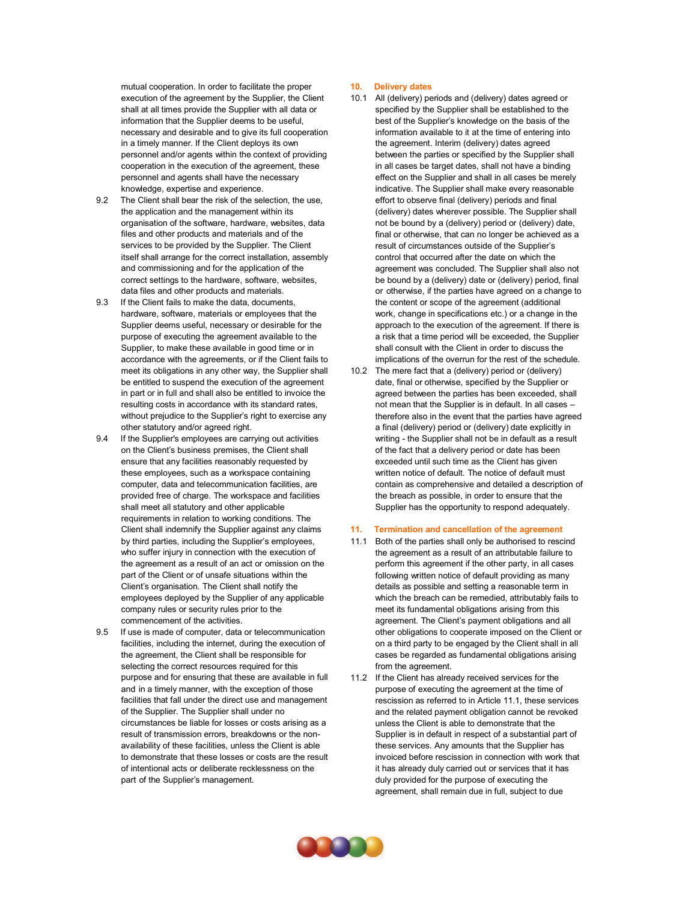mutual cooperation. In order to facilitate the proper execution of the agreement by the Supplier, the Client shall at all times provide the Supplier with all data or information that the Supplier deems to be useful, necessary and desirable and to give its full cooperation in a timely manner. If the Client deploys its own personnel and/or agents within the context of providing cooperation in the execution of the agreement, these personnel and agents shall have the necessary knowledge, expertise and experience.

- 9.2 The Client shall bear the risk of the selection, the use, the application and the management within its organisation of the software, hardware, websites, data files and other products and materials and of the services to be provided by the Supplier. The Client itself shall arrange for the correct installation, assembly and commissioning and for the application of the correct settings to the hardware, software, websites, data files and other products and materials.
- 9.3 If the Client fails to make the data, documents, hardware, software, materials or employees that the Supplier deems useful, necessary or desirable for the purpose of executing the agreement available to the Supplier, to make these available in good time or in accordance with the agreements, or if the Client fails to meet its obligations in any other way, the Supplier shall be entitled to suspend the execution of the agreement in part or in full and shall also be entitled to invoice the resulting costs in accordance with its standard rates, without prejudice to the Supplier's right to exercise any other statutory and/or agreed right.
- 9.4 If the Supplier's employees are carrying out activities on the Client's business premises, the Client shall ensure that any facilities reasonably requested by these employees, such as a workspace containing computer, data and telecommunication facilities, are provided free of charge. The workspace and facilities shall meet all statutory and other applicable requirements in relation to working conditions. The Client shall indemnify the Supplier against any claims by third parties, including the Supplier's employees, who suffer injury in connection with the execution of the agreement as a result of an act or omission on the part of the Client or of unsafe situations within the Client's organisation. The Client shall notify the employees deployed by the Supplier of any applicable company rules or security rules prior to the commencement of the activities.
- 9.5 If use is made of computer, data or telecommunication facilities, including the internet, during the execution of the agreement, the Client shall be responsible for selecting the correct resources required for this purpose and for ensuring that these are available in full and in a timely manner, with the exception of those facilities that fall under the direct use and management of the Supplier. The Supplier shall under no circumstances be liable for losses or costs arising as a result of transmission errors, breakdowns or the nonavailability of these facilities, unless the Client is able to demonstrate that these losses or costs are the result of intentional acts or deliberate recklessness on the part of the Supplier's management.

#### **10. Delivery dates**

- 10.1 All (delivery) periods and (delivery) dates agreed or specified by the Supplier shall be established to the best of the Supplier's knowledge on the basis of the information available to it at the time of entering into the agreement. Interim (delivery) dates agreed between the parties or specified by the Supplier shall in all cases be target dates, shall not have a binding effect on the Supplier and shall in all cases be merely indicative. The Supplier shall make every reasonable effort to observe final (delivery) periods and final (delivery) dates wherever possible. The Supplier shall not be bound by a (delivery) period or (delivery) date, final or otherwise, that can no longer be achieved as a result of circumstances outside of the Supplier's control that occurred after the date on which the agreement was concluded. The Supplier shall also not be bound by a (delivery) date or (delivery) period, final or otherwise, if the parties have agreed on a change to the content or scope of the agreement (additional work, change in specifications etc.) or a change in the approach to the execution of the agreement. If there is a risk that a time period will be exceeded, the Supplier shall consult with the Client in order to discuss the implications of the overrun for the rest of the schedule.
- 10.2 The mere fact that a (delivery) period or (delivery) date, final or otherwise, specified by the Supplier or agreed between the parties has been exceeded, shall not mean that the Supplier is in default. In all cases – therefore also in the event that the parties have agreed a final (delivery) period or (delivery) date explicitly in writing - the Supplier shall not be in default as a result of the fact that a delivery period or date has been exceeded until such time as the Client has given written notice of default. The notice of default must contain as comprehensive and detailed a description of the breach as possible, in order to ensure that the Supplier has the opportunity to respond adequately.

#### **11. Termination and cancellation of the agreement**

- 11.1 Both of the parties shall only be authorised to rescind the agreement as a result of an attributable failure to perform this agreement if the other party, in all cases following written notice of default providing as many details as possible and setting a reasonable term in which the breach can be remedied, attributably fails to meet its fundamental obligations arising from this agreement. The Client's payment obligations and all other obligations to cooperate imposed on the Client or on a third party to be engaged by the Client shall in all cases be regarded as fundamental obligations arising from the agreement.
- 11.2 If the Client has already received services for the purpose of executing the agreement at the time of rescission as referred to in Article 11.1, these services and the related payment obligation cannot be revoked unless the Client is able to demonstrate that the Supplier is in default in respect of a substantial part of these services. Any amounts that the Supplier has invoiced before rescission in connection with work that it has already duly carried out or services that it has duly provided for the purpose of executing the agreement, shall remain due in full, subject to due

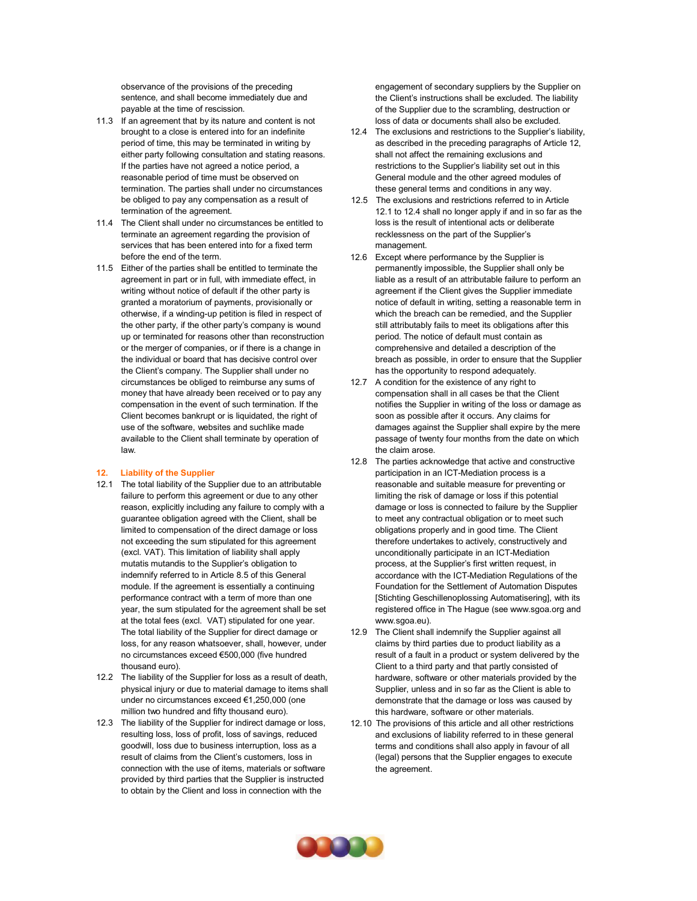observance of the provisions of the preceding sentence, and shall become immediately due and payable at the time of rescission.

- 11.3 If an agreement that by its nature and content is not brought to a close is entered into for an indefinite period of time, this may be terminated in writing by either party following consultation and stating reasons. If the parties have not agreed a notice period, a reasonable period of time must be observed on termination. The parties shall under no circumstances be obliged to pay any compensation as a result of termination of the agreement.
- 11.4 The Client shall under no circumstances be entitled to terminate an agreement regarding the provision of services that has been entered into for a fixed term before the end of the term.
- 11.5 Either of the parties shall be entitled to terminate the agreement in part or in full, with immediate effect, in writing without notice of default if the other party is granted a moratorium of payments, provisionally or otherwise, if a winding-up petition is filed in respect of the other party, if the other party's company is wound up or terminated for reasons other than reconstruction or the merger of companies, or if there is a change in the individual or board that has decisive control over the Client's company. The Supplier shall under no circumstances be obliged to reimburse any sums of money that have already been received or to pay any compensation in the event of such termination. If the Client becomes bankrupt or is liquidated, the right of use of the software, websites and suchlike made available to the Client shall terminate by operation of law.

#### **12. Liability of the Supplier**

- 12.1 The total liability of the Supplier due to an attributable failure to perform this agreement or due to any other reason, explicitly including any failure to comply with a guarantee obligation agreed with the Client, shall be limited to compensation of the direct damage or loss not exceeding the sum stipulated for this agreement (excl. VAT). This limitation of liability shall apply mutatis mutandis to the Supplier's obligation to indemnify referred to in Article 8.5 of this General module. If the agreement is essentially a continuing performance contract with a term of more than one year, the sum stipulated for the agreement shall be set at the total fees (excl. VAT) stipulated for one year. The total liability of the Supplier for direct damage or loss, for any reason whatsoever, shall, however, under no circumstances exceed €500,000 (five hundred thousand euro).
- 12.2 The liability of the Supplier for loss as a result of death, physical injury or due to material damage to items shall under no circumstances exceed €1,250,000 (one million two hundred and fifty thousand euro).
- 12.3 The liability of the Supplier for indirect damage or loss, resulting loss, loss of profit, loss of savings, reduced goodwill, loss due to business interruption, loss as a result of claims from the Client's customers, loss in connection with the use of items, materials or software provided by third parties that the Supplier is instructed to obtain by the Client and loss in connection with the

engagement of secondary suppliers by the Supplier on the Client's instructions shall be excluded. The liability of the Supplier due to the scrambling, destruction or loss of data or documents shall also be excluded.

- 12.4 The exclusions and restrictions to the Supplier's liability, as described in the preceding paragraphs of Article 12, shall not affect the remaining exclusions and restrictions to the Supplier's liability set out in this General module and the other agreed modules of these general terms and conditions in any way.
- 12.5 The exclusions and restrictions referred to in Article 12.1 to 12.4 shall no longer apply if and in so far as the loss is the result of intentional acts or deliberate recklessness on the part of the Supplier's management.
- 12.6 Except where performance by the Supplier is permanently impossible, the Supplier shall only be liable as a result of an attributable failure to perform an agreement if the Client gives the Supplier immediate notice of default in writing, setting a reasonable term in which the breach can be remedied, and the Supplier still attributably fails to meet its obligations after this period. The notice of default must contain as comprehensive and detailed a description of the breach as possible, in order to ensure that the Supplier has the opportunity to respond adequately.
- 12.7 A condition for the existence of any right to compensation shall in all cases be that the Client notifies the Supplier in writing of the loss or damage as soon as possible after it occurs. Any claims for damages against the Supplier shall expire by the mere passage of twenty four months from the date on which the claim arose.
- 12.8 The parties acknowledge that active and constructive participation in an ICT-Mediation process is a reasonable and suitable measure for preventing or limiting the risk of damage or loss if this potential damage or loss is connected to failure by the Supplier to meet any contractual obligation or to meet such obligations properly and in good time. The Client therefore undertakes to actively, constructively and unconditionally participate in an ICT-Mediation process, at the Supplier's first written request, in accordance with the ICT-Mediation Regulations of the Foundation for the Settlement of Automation Disputes [Stichting Geschillenoplossing Automatisering], with its registered office in The Hague (se[e www.sgoa.org](http://www.sgoa.org/) an[d](http://www.sgoa.eu/) [www.sgoa.eu\)](http://www.sgoa.eu/).
- 12.9 The Client shall indemnify the Supplier against all claims by third parties due to product liability as a result of a fault in a product or system delivered by the Client to a third party and that partly consisted of hardware, software or other materials provided by the Supplier, unless and in so far as the Client is able to demonstrate that the damage or loss was caused by this hardware, software or other materials.
- 12.10 The provisions of this article and all other restrictions and exclusions of liability referred to in these general terms and conditions shall also apply in favour of all (legal) persons that the Supplier engages to execute the agreement.

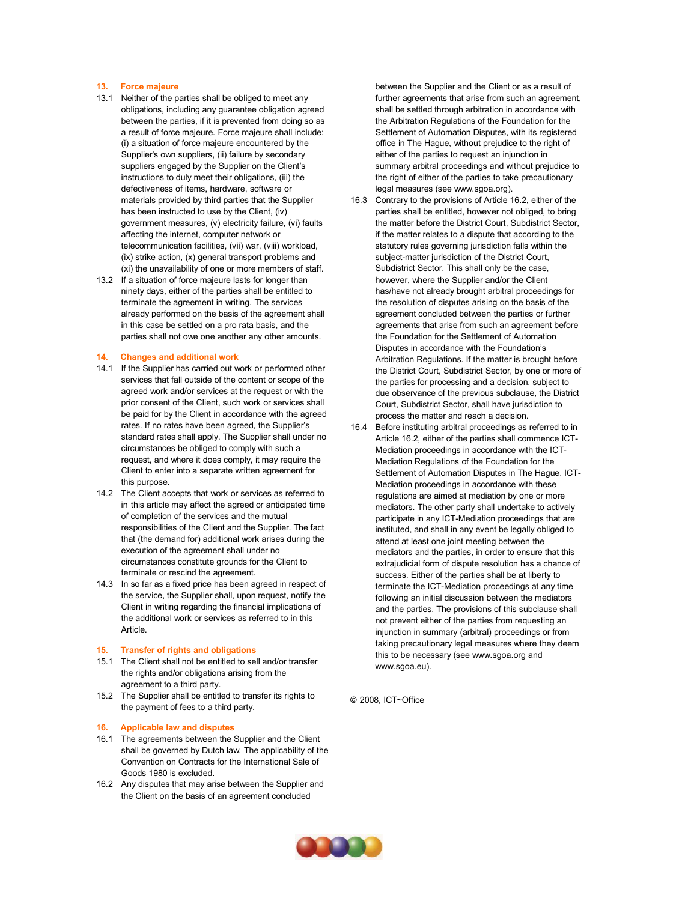#### **13. Force majeure**

- 13.1 Neither of the parties shall be obliged to meet any obligations, including any guarantee obligation agreed between the parties, if it is prevented from doing so as a result of force majeure. Force majeure shall include: (i) a situation of force majeure encountered by the Supplier's own suppliers, (ii) failure by secondary suppliers engaged by the Supplier on the Client's instructions to duly meet their obligations, (iii) the defectiveness of items, hardware, software or materials provided by third parties that the Supplier has been instructed to use by the Client, (iv) government measures, (v) electricity failure, (vi) faults affecting the internet, computer network or telecommunication facilities, (vii) war, (viii) workload, (ix) strike action, (x) general transport problems and (xi) the unavailability of one or more members of staff.
- 13.2 If a situation of force majeure lasts for longer than ninety days, either of the parties shall be entitled to terminate the agreement in writing. The services already performed on the basis of the agreement shall in this case be settled on a pro rata basis, and the parties shall not owe one another any other amounts.

#### **14. Changes and additional work**

- 14.1 If the Supplier has carried out work or performed other services that fall outside of the content or scope of the agreed work and/or services at the request or with the prior consent of the Client, such work or services shall be paid for by the Client in accordance with the agreed rates. If no rates have been agreed, the Supplier's standard rates shall apply. The Supplier shall under no circumstances be obliged to comply with such a request, and where it does comply, it may require the Client to enter into a separate written agreement for this purpose.
- 14.2 The Client accepts that work or services as referred to in this article may affect the agreed or anticipated time of completion of the services and the mutual responsibilities of the Client and the Supplier. The fact that (the demand for) additional work arises during the execution of the agreement shall under no circumstances constitute grounds for the Client to terminate or rescind the agreement.
- 14.3 In so far as a fixed price has been agreed in respect of the service, the Supplier shall, upon request, notify the Client in writing regarding the financial implications of the additional work or services as referred to in this Article.

#### **15. Transfer of rights and obligations**

- 15.1 The Client shall not be entitled to sell and/or transfer the rights and/or obligations arising from the agreement to a third party.
- 15.2 The Supplier shall be entitled to transfer its rights to the payment of fees to a third party.

#### **16. Applicable law and disputes**

- 16.1 The agreements between the Supplier and the Client shall be governed by Dutch law. The applicability of the Convention on Contracts for the International Sale of Goods 1980 is excluded.
- 16.2 Any disputes that may arise between the Supplier and the Client on the basis of an agreement concluded

between the Supplier and the Client or as a result of further agreements that arise from such an agreement, shall be settled through arbitration in accordance with the Arbitration Regulations of the Foundation for the Settlement of Automation Disputes, with its registered office in The Hague, without prejudice to the right of either of the parties to request an injunction in summary arbitral proceedings and without prejudice to the right of either of the parties to take precautionary legal measures (see [www.sgoa.org\)](http://www.sgoa.org/).

- 16.3 Contrary to the provisions of Article 16.2, either of the parties shall be entitled, however not obliged, to bring the matter before the District Court, Subdistrict Sector, if the matter relates to a dispute that according to the statutory rules governing jurisdiction falls within the subject-matter jurisdiction of the District Court, Subdistrict Sector. This shall only be the case, however, where the Supplier and/or the Client has/have not already brought arbitral proceedings for the resolution of disputes arising on the basis of the agreement concluded between the parties or further agreements that arise from such an agreement before the Foundation for the Settlement of Automation Disputes in accordance with the Foundation's Arbitration Regulations. If the matter is brought before the District Court, Subdistrict Sector, by one or more of the parties for processing and a decision, subject to due observance of the previous subclause, the District Court, Subdistrict Sector, shall have jurisdiction to process the matter and reach a decision.
- 16.4 Before instituting arbitral proceedings as referred to in Article 16.2, either of the parties shall commence ICT-Mediation proceedings in accordance with the ICT-Mediation Regulations of the Foundation for the Settlement of Automation Disputes in The Hague. ICT-Mediation proceedings in accordance with these regulations are aimed at mediation by one or more mediators. The other party shall undertake to actively participate in any ICT-Mediation proceedings that are instituted, and shall in any event be legally obliged to attend at least one joint meeting between the mediators and the parties, in order to ensure that this extrajudicial form of dispute resolution has a chance of success. Either of the parties shall be at liberty to terminate the ICT-Mediation proceedings at any time following an initial discussion between the mediators and the parties. The provisions of this subclause shall not prevent either of the parties from requesting an injunction in summary (arbitral) proceedings or from taking precautionary legal measures where they deem this to be necessary (see [www.sgoa.org](http://www.sgoa.org/) an[d](http://www.sgoa.eu/) [www.sgoa.eu\)](http://www.sgoa.eu/).

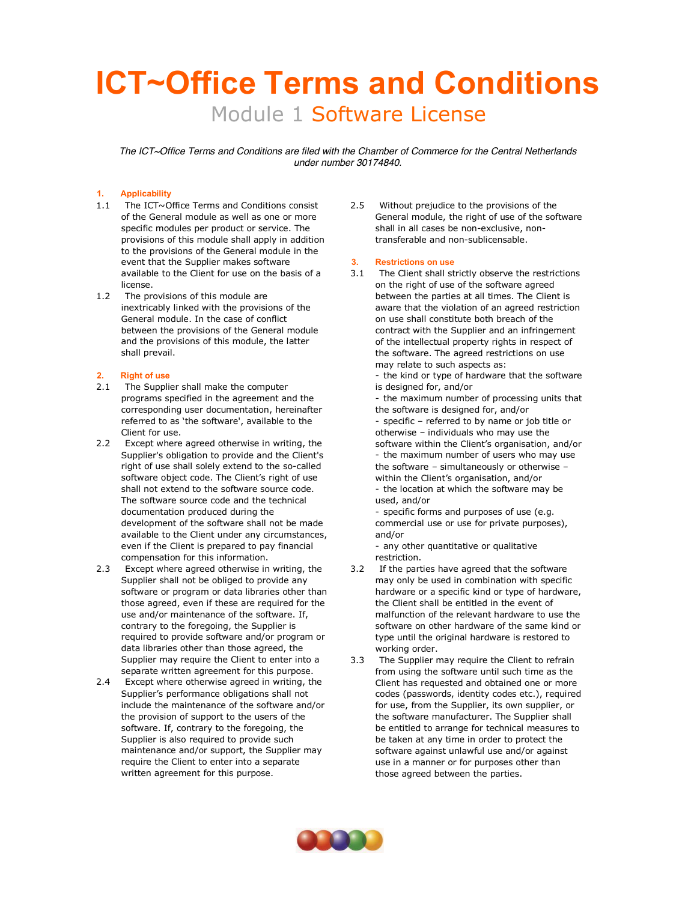# **ICT~Office Terms and Conditions** Module 1 Software License

*The ICT~Office Terms and Conditions are filed with the Chamber of Commerce for the Central Netherlands under number 30174840.*

# **1. Applicability**

- 1.1 The ICT~Office Terms and Conditions consist of the General module as well as one or more specific modules per product or service. The provisions of this module shall apply in addition to the provisions of the General module in the event that the Supplier makes software available to the Client for use on the basis of a license.
- 1.2 The provisions of this module are inextricably linked with the provisions of the General module. In the case of conflict between the provisions of the General module and the provisions of this module, the latter shall prevail.

## **2. Right of use**

- 2.1 The Supplier shall make the computer programs specified in the agreement and the corresponding user documentation, hereinafter referred to as 'the software', available to the Client for use.
- 2.2 Except where agreed otherwise in writing, the Supplier's obligation to provide and the Client's right of use shall solely extend to the so-called software object code. The Client's right of use shall not extend to the software source code. The software source code and the technical documentation produced during the development of the software shall not be made available to the Client under any circumstances, even if the Client is prepared to pay financial compensation for this information.
- 2.3 Except where agreed otherwise in writing, the Supplier shall not be obliged to provide any software or program or data libraries other than those agreed, even if these are required for the use and/or maintenance of the software. If, contrary to the foregoing, the Supplier is required to provide software and/or program or data libraries other than those agreed, the Supplier may require the Client to enter into a separate written agreement for this purpose.
- 2.4 Except where otherwise agreed in writing, the Supplier's performance obligations shall not include the maintenance of the software and/or the provision of support to the users of the software. If, contrary to the foregoing, the Supplier is also required to provide such maintenance and/or support, the Supplier may require the Client to enter into a separate written agreement for this purpose.

2.5 Without prejudice to the provisions of the General module, the right of use of the software shall in all cases be non-exclusive, nontransferable and non-sublicensable.

### **3. Restrictions on use**

3.1 The Client shall strictly observe the restrictions on the right of use of the software agreed between the parties at all times. The Client is aware that the violation of an agreed restriction on use shall constitute both breach of the contract with the Supplier and an infringement of the intellectual property rights in respect of the software. The agreed restrictions on use may relate to such aspects as:

- the kind or type of hardware that the software is designed for, and/or

- the maximum number of processing units that the software is designed for, and/or

- specific – referred to by name or job title or otherwise – individuals who may use the software within the Client's organisation, and/or - the maximum number of users who may use the software – simultaneously or otherwise – within the Client's organisation, and/or - the location at which the software may be used, and/or

- specific forms and purposes of use (e.g. commercial use or use for private purposes), and/or

- any other quantitative or qualitative restriction.

- 3.2 If the parties have agreed that the software may only be used in combination with specific hardware or a specific kind or type of hardware, the Client shall be entitled in the event of malfunction of the relevant hardware to use the software on other hardware of the same kind or type until the original hardware is restored to working order.
- 3.3 The Supplier may require the Client to refrain from using the software until such time as the Client has requested and obtained one or more codes (passwords, identity codes etc.), required for use, from the Supplier, its own supplier, or the software manufacturer. The Supplier shall be entitled to arrange for technical measures to be taken at any time in order to protect the software against unlawful use and/or against use in a manner or for purposes other than those agreed between the parties.

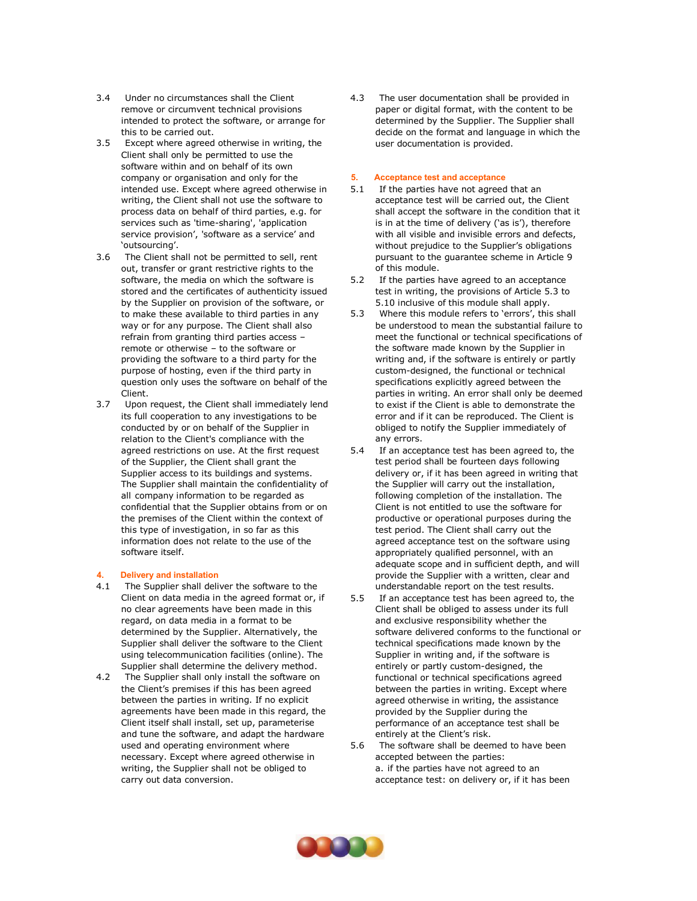- 3.4 Under no circumstances shall the Client remove or circumvent technical provisions intended to protect the software, or arrange for this to be carried out.
- 3.5 Except where agreed otherwise in writing, the Client shall only be permitted to use the software within and on behalf of its own company or organisation and only for the intended use. Except where agreed otherwise in writing, the Client shall not use the software to process data on behalf of third parties, e.g. for services such as 'time-sharing', 'application service provision', 'software as a service' and 'outsourcing'.
- 3.6 The Client shall not be permitted to sell, rent out, transfer or grant restrictive rights to the software, the media on which the software is stored and the certificates of authenticity issued by the Supplier on provision of the software, or to make these available to third parties in any way or for any purpose. The Client shall also refrain from granting third parties access – remote or otherwise – to the software or providing the software to a third party for the purpose of hosting, even if the third party in question only uses the software on behalf of the Client.
- 3.7 Upon request, the Client shall immediately lend its full cooperation to any investigations to be conducted by or on behalf of the Supplier in relation to the Client's compliance with the agreed restrictions on use. At the first request of the Supplier, the Client shall grant the Supplier access to its buildings and systems. The Supplier shall maintain the confidentiality of all company information to be regarded as confidential that the Supplier obtains from or on the premises of the Client within the context of this type of investigation, in so far as this information does not relate to the use of the software itself.

# **4. Delivery and installation**

- 4.1 The Supplier shall deliver the software to the Client on data media in the agreed format or, if no clear agreements have been made in this regard, on data media in a format to be determined by the Supplier. Alternatively, the Supplier shall deliver the software to the Client using telecommunication facilities (online). The Supplier shall determine the delivery method.
- 4.2 The Supplier shall only install the software on the Client's premises if this has been agreed between the parties in writing. If no explicit agreements have been made in this regard, the Client itself shall install, set up, parameterise and tune the software, and adapt the hardware used and operating environment where necessary. Except where agreed otherwise in writing, the Supplier shall not be obliged to carry out data conversion.

4.3 The user documentation shall be provided in paper or digital format, with the content to be determined by the Supplier. The Supplier shall decide on the format and language in which the user documentation is provided.

#### **5. Acceptance test and acceptance**

- 5.1 If the parties have not agreed that an acceptance test will be carried out, the Client shall accept the software in the condition that it is in at the time of delivery ('as is'), therefore with all visible and invisible errors and defects, without prejudice to the Supplier's obligations pursuant to the guarantee scheme in Article 9 of this module.
- 5.2 If the parties have agreed to an acceptance test in writing, the provisions of Article 5.3 to 5.10 inclusive of this module shall apply.
- 5.3 Where this module refers to 'errors', this shall be understood to mean the substantial failure to meet the functional or technical specifications of the software made known by the Supplier in writing and, if the software is entirely or partly custom-designed, the functional or technical specifications explicitly agreed between the parties in writing. An error shall only be deemed to exist if the Client is able to demonstrate the error and if it can be reproduced. The Client is obliged to notify the Supplier immediately of any errors.
- 5.4 If an acceptance test has been agreed to, the test period shall be fourteen days following delivery or, if it has been agreed in writing that the Supplier will carry out the installation, following completion of the installation. The Client is not entitled to use the software for productive or operational purposes during the test period. The Client shall carry out the agreed acceptance test on the software using appropriately qualified personnel, with an adequate scope and in sufficient depth, and will provide the Supplier with a written, clear and understandable report on the test results.
- 5.5 If an acceptance test has been agreed to, the Client shall be obliged to assess under its full and exclusive responsibility whether the software delivered conforms to the functional or technical specifications made known by the Supplier in writing and, if the software is entirely or partly custom-designed, the functional or technical specifications agreed between the parties in writing. Except where agreed otherwise in writing, the assistance provided by the Supplier during the performance of an acceptance test shall be entirely at the Client's risk.
- 5.6 The software shall be deemed to have been accepted between the parties: a. if the parties have not agreed to an acceptance test: on delivery or, if it has been

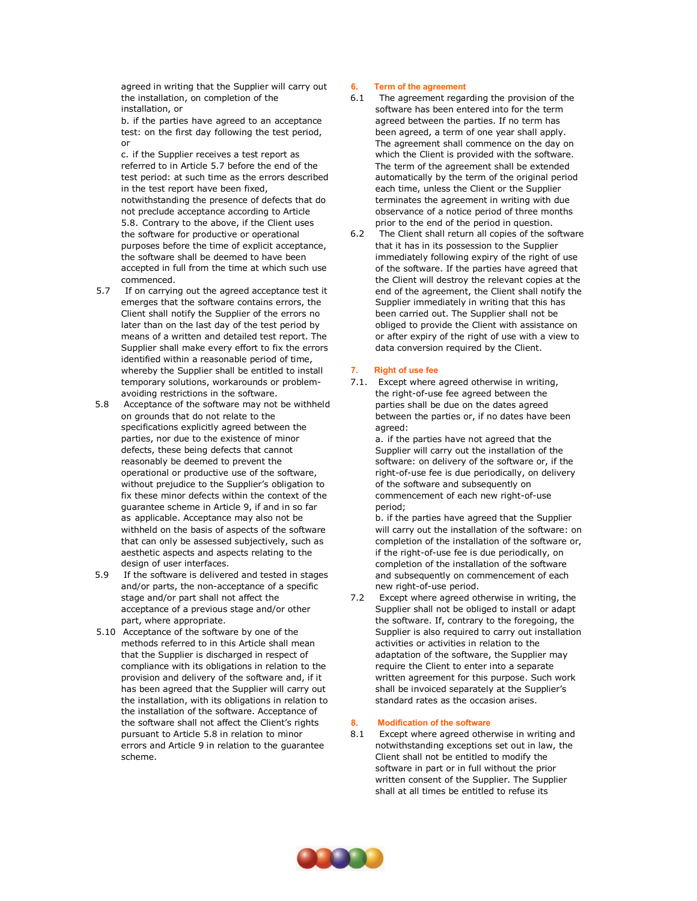agreed in writing that the Supplier will carry out the installation, on completion of the installation, or

b. if the parties have agreed to an acceptance test: on the first day following the test period, or

c. if the Supplier receives a test report as referred to in Article 5.7 before the end of the test period: at such time as the errors described in the test report have been fixed, notwithstanding the presence of defects that do not preclude acceptance according to Article 5.8. Contrary to the above, if the Client uses the software for productive or operational purposes before the time of explicit acceptance, the software shall be deemed to have been accepted in full from the time at which such use commenced.

- 5.7 If on carrying out the agreed acceptance test it emerges that the software contains errors, the Client shall notify the Supplier of the errors no later than on the last day of the test period by means of a written and detailed test report. The Supplier shall make every effort to fix the errors identified within a reasonable period of time, whereby the Supplier shall be entitled to install temporary solutions, workarounds or problemavoiding restrictions in the software.
- 5.8 Acceptance of the software may not be withheld on grounds that do not relate to the specifications explicitly agreed between the parties, nor due to the existence of minor defects, these being defects that cannot reasonably be deemed to prevent the operational or productive use of the software, without prejudice to the Supplier's obligation to fix these minor defects within the context of the guarantee scheme in Article 9, if and in so far as applicable. Acceptance may also not be withheld on the basis of aspects of the software that can only be assessed subjectively, such as aesthetic aspects and aspects relating to the design of user interfaces.
- 5.9 If the software is delivered and tested in stages and/or parts, the non-acceptance of a specific stage and/or part shall not affect the acceptance of a previous stage and/or other part, where appropriate.
- 5.10 Acceptance of the software by one of the methods referred to in this Article shall mean that the Supplier is discharged in respect of compliance with its obligations in relation to the provision and delivery of the software and, if it has been agreed that the Supplier will carry out the installation, with its obligations in relation to the installation of the software. Acceptance of the software shall not affect the Client's rights pursuant to Article 5.8 in relation to minor errors and Article 9 in relation to the guarantee scheme.

### **6. Term of the agreement**

- 6.1 The agreement regarding the provision of the software has been entered into for the term agreed between the parties. If no term has been agreed, a term of one year shall apply. The agreement shall commence on the day on which the Client is provided with the software. The term of the agreement shall be extended automatically by the term of the original period each time, unless the Client or the Supplier terminates the agreement in writing with due observance of a notice period of three months prior to the end of the period in question.
- 6.2 The Client shall return all copies of the software that it has in its possession to the Supplier immediately following expiry of the right of use of the software. If the parties have agreed that the Client will destroy the relevant copies at the end of the agreement, the Client shall notify the Supplier immediately in writing that this has been carried out. The Supplier shall not be obliged to provide the Client with assistance on or after expiry of the right of use with a view to data conversion required by the Client.

### **7. Right of use fee**

7.1. Except where agreed otherwise in writing, the right-of-use fee agreed between the parties shall be due on the dates agreed between the parties or, if no dates have been agreed:

> a. if the parties have not agreed that the Supplier will carry out the installation of the software: on delivery of the software or, if the right-of-use fee is due periodically, on delivery of the software and subsequently on commencement of each new right-of-use period;

b. if the parties have agreed that the Supplier will carry out the installation of the software: on completion of the installation of the software or, if the right-of-use fee is due periodically, on completion of the installation of the software and subsequently on commencement of each new right-of-use period.

7.2 Except where agreed otherwise in writing, the Supplier shall not be obliged to install or adapt the software. If, contrary to the foregoing, the Supplier is also required to carry out installation activities or activities in relation to the adaptation of the software, the Supplier may require the Client to enter into a separate written agreement for this purpose. Such work shall be invoiced separately at the Supplier's standard rates as the occasion arises.

### **8. Modification of the software**

8.1 Except where agreed otherwise in writing and notwithstanding exceptions set out in law, the Client shall not be entitled to modify the software in part or in full without the prior written consent of the Supplier. The Supplier shall at all times be entitled to refuse its

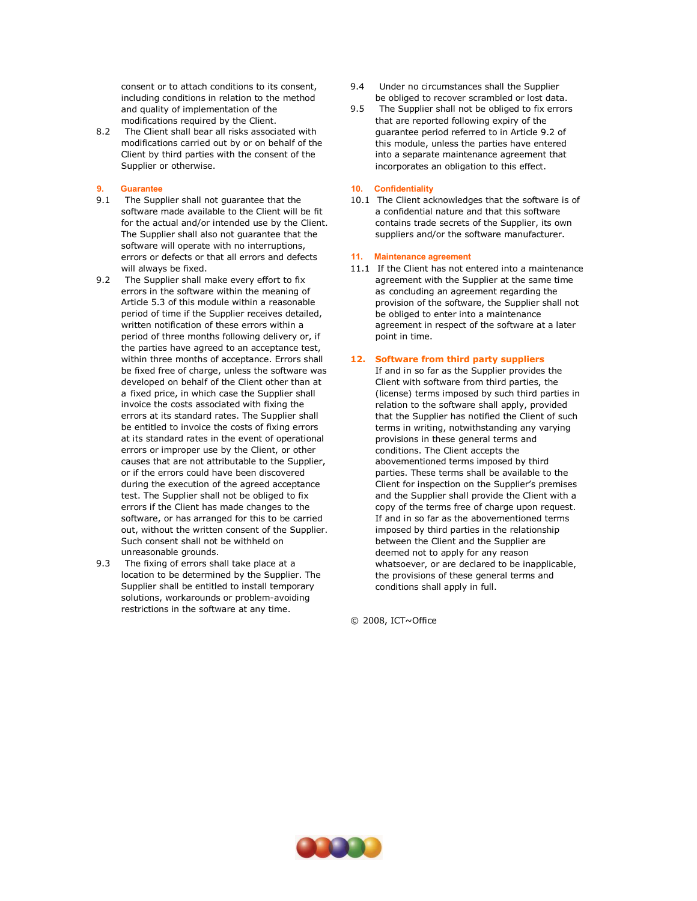consent or to attach conditions to its consent, including conditions in relation to the method and quality of implementation of the modifications required by the Client.

8.2 The Client shall bear all risks associated with modifications carried out by or on behalf of the Client by third parties with the consent of the Supplier or otherwise.

#### **9. Guarantee**

- 9.1 The Supplier shall not guarantee that the software made available to the Client will be fit for the actual and/or intended use by the Client. The Supplier shall also not guarantee that the software will operate with no interruptions, errors or defects or that all errors and defects will always be fixed.
- 9.2 The Supplier shall make every effort to fix errors in the software within the meaning of Article 5.3 of this module within a reasonable period of time if the Supplier receives detailed, written notification of these errors within a period of three months following delivery or, if the parties have agreed to an acceptance test, within three months of acceptance. Errors shall be fixed free of charge, unless the software was developed on behalf of the Client other than at a fixed price, in which case the Supplier shall invoice the costs associated with fixing the errors at its standard rates. The Supplier shall be entitled to invoice the costs of fixing errors at its standard rates in the event of operational errors or improper use by the Client, or other causes that are not attributable to the Supplier, or if the errors could have been discovered during the execution of the agreed acceptance test. The Supplier shall not be obliged to fix errors if the Client has made changes to the software, or has arranged for this to be carried out, without the written consent of the Supplier. Such consent shall not be withheld on unreasonable grounds.
- 9.3 The fixing of errors shall take place at a location to be determined by the Supplier. The Supplier shall be entitled to install temporary solutions, workarounds or problem-avoiding restrictions in the software at any time.
- 9.4 Under no circumstances shall the Supplier be obliged to recover scrambled or lost data.
- 9.5 The Supplier shall not be obliged to fix errors that are reported following expiry of the guarantee period referred to in Article 9.2 of this module, unless the parties have entered into a separate maintenance agreement that incorporates an obligation to this effect.

#### **10. Confidentiality**

10.1 The Client acknowledges that the software is of a confidential nature and that this software contains trade secrets of the Supplier, its own suppliers and/or the software manufacturer.

#### **11. Maintenance agreement**

11.1 If the Client has not entered into a maintenance agreement with the Supplier at the same time as concluding an agreement regarding the provision of the software, the Supplier shall not be obliged to enter into a maintenance agreement in respect of the software at a later point in time.

### **12. Software from third party suppliers**

If and in so far as the Supplier provides the Client with software from third parties, the (license) terms imposed by such third parties in relation to the software shall apply, provided that the Supplier has notified the Client of such terms in writing, notwithstanding any varying provisions in these general terms and conditions. The Client accepts the abovementioned terms imposed by third parties. These terms shall be available to the Client for inspection on the Supplier's premises and the Supplier shall provide the Client with a copy of the terms free of charge upon request. If and in so far as the abovementioned terms imposed by third parties in the relationship between the Client and the Supplier are deemed not to apply for any reason whatsoever, or are declared to be inapplicable, the provisions of these general terms and conditions shall apply in full.

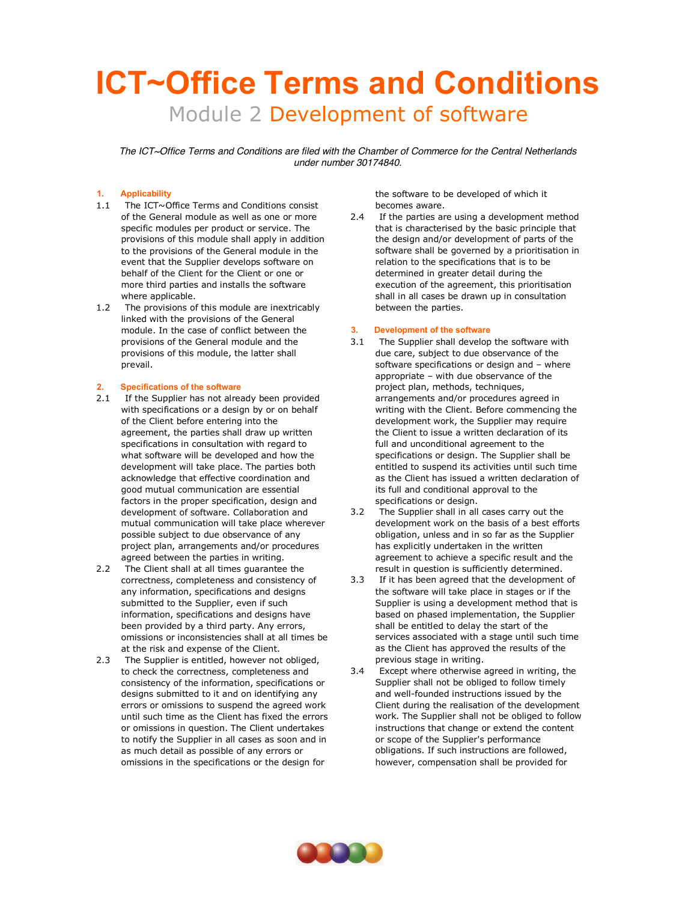# **ICT~Office Terms and Conditions** Module 2 Development of software

*The ICT~Office Terms and Conditions are filed with the Chamber of Commerce for the Central Netherlands under number 30174840.*

# **1. Applicability**

- 1.1 The ICT~Office Terms and Conditions consist of the General module as well as one or more specific modules per product or service. The provisions of this module shall apply in addition to the provisions of the General module in the event that the Supplier develops software on behalf of the Client for the Client or one or more third parties and installs the software where applicable.
- 1.2 The provisions of this module are inextricably linked with the provisions of the General module. In the case of conflict between the provisions of the General module and the provisions of this module, the latter shall prevail.

#### **2. Specifications of the software**

- 2.1 If the Supplier has not already been provided with specifications or a design by or on behalf of the Client before entering into the agreement, the parties shall draw up written specifications in consultation with regard to what software will be developed and how the development will take place. The parties both acknowledge that effective coordination and good mutual communication are essential factors in the proper specification, design and development of software. Collaboration and mutual communication will take place wherever possible subject to due observance of any project plan, arrangements and/or procedures agreed between the parties in writing.
- 2.2 The Client shall at all times guarantee the correctness, completeness and consistency of any information, specifications and designs submitted to the Supplier, even if such information, specifications and designs have been provided by a third party. Any errors, omissions or inconsistencies shall at all times be at the risk and expense of the Client.
- 2.3 The Supplier is entitled, however not obliged, to check the correctness, completeness and consistency of the information, specifications or designs submitted to it and on identifying any errors or omissions to suspend the agreed work until such time as the Client has fixed the errors or omissions in question. The Client undertakes to notify the Supplier in all cases as soon and in as much detail as possible of any errors or omissions in the specifications or the design for

the software to be developed of which it becomes aware.

2.4 If the parties are using a development method that is characterised by the basic principle that the design and/or development of parts of the software shall be governed by a prioritisation in relation to the specifications that is to be determined in greater detail during the execution of the agreement, this prioritisation shall in all cases be drawn up in consultation between the parties.

#### **3. Development of the software**

- 3.1 The Supplier shall develop the software with due care, subject to due observance of the software specifications or design and – where appropriate – with due observance of the project plan, methods, techniques, arrangements and/or procedures agreed in writing with the Client. Before commencing the development work, the Supplier may require the Client to issue a written declaration of its full and unconditional agreement to the specifications or design. The Supplier shall be entitled to suspend its activities until such time as the Client has issued a written declaration of its full and conditional approval to the specifications or design.
- 3.2 The Supplier shall in all cases carry out the development work on the basis of a best efforts obligation, unless and in so far as the Supplier has explicitly undertaken in the written agreement to achieve a specific result and the result in question is sufficiently determined.
- 3.3 If it has been agreed that the development of the software will take place in stages or if the Supplier is using a development method that is based on phased implementation, the Supplier shall be entitled to delay the start of the services associated with a stage until such time as the Client has approved the results of the previous stage in writing.
- 3.4 Except where otherwise agreed in writing, the Supplier shall not be obliged to follow timely and well-founded instructions issued by the Client during the realisation of the development work. The Supplier shall not be obliged to follow instructions that change or extend the content or scope of the Supplier's performance obligations. If such instructions are followed, however, compensation shall be provided for

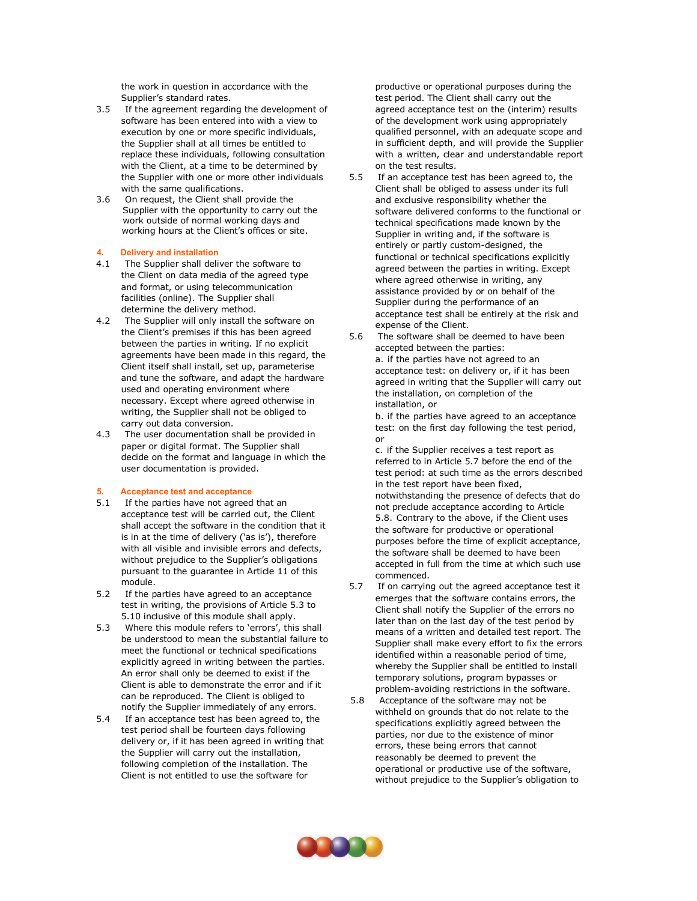the work in question in accordance with the Supplier's standard rates.

- 3.5 If the agreement regarding the development of software has been entered into with a view to execution by one or more specific individuals, the Supplier shall at all times be entitled to replace these individuals, following consultation with the Client, at a time to be determined by the Supplier with one or more other individuals with the same qualifications.
- 3.6 On request, the Client shall provide the Supplier with the opportunity to carry out the work outside of normal working days and working hours at the Client's offices or site.

#### **4. Delivery and installation**

- 4.1 The Supplier shall deliver the software to the Client on data media of the agreed type and format, or using telecommunication facilities (online). The Supplier shall determine the delivery method.
- 4.2 The Supplier will only install the software on the Client's premises if this has been agreed between the parties in writing. If no explicit agreements have been made in this regard, the Client itself shall install, set up, parameterise and tune the software, and adapt the hardware used and operating environment where necessary. Except where agreed otherwise in writing, the Supplier shall not be obliged to carry out data conversion.
- 4.3 The user documentation shall be provided in paper or digital format. The Supplier shall decide on the format and language in which the user documentation is provided.

#### **5. Acceptance test and acceptance**

- 5.1 If the parties have not agreed that an acceptance test will be carried out, the Client shall accept the software in the condition that it is in at the time of delivery ('as is'), therefore with all visible and invisible errors and defects, without prejudice to the Supplier's obligations pursuant to the guarantee in Article 11 of this module.
- 5.2 If the parties have agreed to an acceptance test in writing, the provisions of Article 5.3 to 5.10 inclusive of this module shall apply.
- 5.3 Where this module refers to 'errors', this shall be understood to mean the substantial failure to meet the functional or technical specifications explicitly agreed in writing between the parties. An error shall only be deemed to exist if the Client is able to demonstrate the error and if it can be reproduced. The Client is obliged to notify the Supplier immediately of any errors.
- 5.4 If an acceptance test has been agreed to, the test period shall be fourteen days following delivery or, if it has been agreed in writing that the Supplier will carry out the installation, following completion of the installation. The Client is not entitled to use the software for

productive or operational purposes during the test period. The Client shall carry out the agreed acceptance test on the (interim) results of the development work using appropriately qualified personnel, with an adequate scope and in sufficient depth, and will provide the Supplier with a written, clear and understandable report on the test results.

- 5.5 If an acceptance test has been agreed to, the Client shall be obliged to assess under its full and exclusive responsibility whether the software delivered conforms to the functional or technical specifications made known by the Supplier in writing and, if the software is entirely or partly custom-designed, the functional or technical specifications explicitly agreed between the parties in writing. Except where agreed otherwise in writing, any assistance provided by or on behalf of the Supplier during the performance of an acceptance test shall be entirely at the risk and expense of the Client.
- 5.6 The software shall be deemed to have been accepted between the parties: a. if the parties have not agreed to an acceptance test: on delivery or, if it has been agreed in writing that the Supplier will carry out the installation, on completion of the installation, or

b. if the parties have agreed to an acceptance test: on the first day following the test period, or

c. if the Supplier receives a test report as referred to in Article 5.7 before the end of the test period: at such time as the errors described in the test report have been fixed, notwithstanding the presence of defects that do not preclude acceptance according to Article 5.8. Contrary to the above, if the Client uses the software for productive or operational purposes before the time of explicit acceptance, the software shall be deemed to have been accepted in full from the time at which such use commenced.

- 5.7 If on carrying out the agreed acceptance test it emerges that the software contains errors, the Client shall notify the Supplier of the errors no later than on the last day of the test period by means of a written and detailed test report. The Supplier shall make every effort to fix the errors identified within a reasonable period of time, whereby the Supplier shall be entitled to install temporary solutions, program bypasses or problem-avoiding restrictions in the software.
- 5.8 Acceptance of the software may not be withheld on grounds that do not relate to the specifications explicitly agreed between the parties, nor due to the existence of minor errors, these being errors that cannot reasonably be deemed to prevent the operational or productive use of the software, without prejudice to the Supplier's obligation to

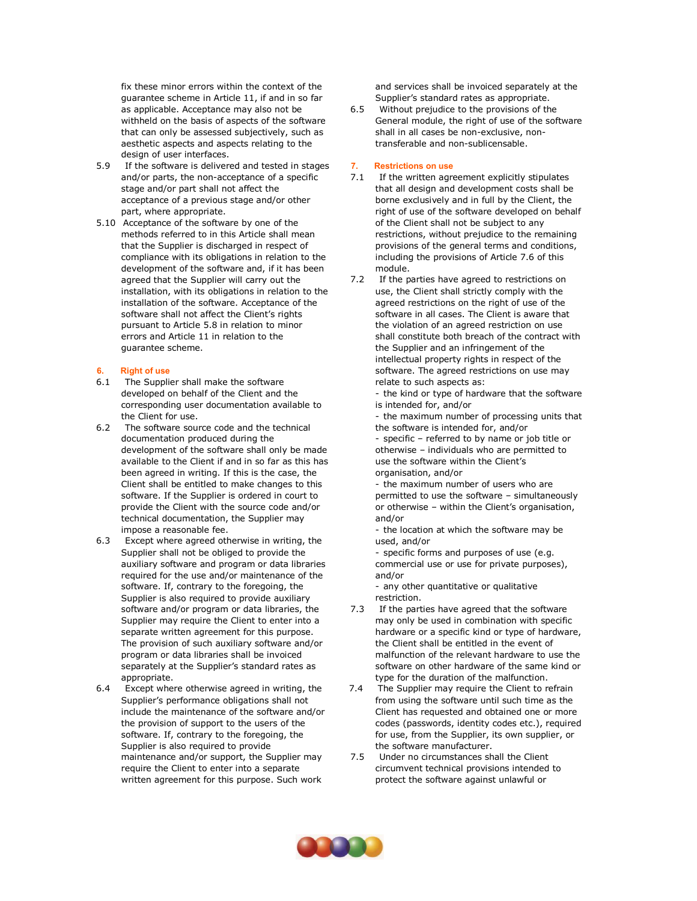fix these minor errors within the context of the guarantee scheme in Article 11, if and in so far as applicable. Acceptance may also not be withheld on the basis of aspects of the software that can only be assessed subjectively, such as aesthetic aspects and aspects relating to the design of user interfaces.

- 5.9 If the software is delivered and tested in stages and/or parts, the non-acceptance of a specific stage and/or part shall not affect the acceptance of a previous stage and/or other part, where appropriate.
- 5.10 Acceptance of the software by one of the methods referred to in this Article shall mean that the Supplier is discharged in respect of compliance with its obligations in relation to the development of the software and, if it has been agreed that the Supplier will carry out the installation, with its obligations in relation to the installation of the software. Acceptance of the software shall not affect the Client's rights pursuant to Article 5.8 in relation to minor errors and Article 11 in relation to the guarantee scheme.

#### **6. Right of use**

- 6.1 The Supplier shall make the software developed on behalf of the Client and the corresponding user documentation available to the Client for use.
- 6.2 The software source code and the technical documentation produced during the development of the software shall only be made available to the Client if and in so far as this has been agreed in writing. If this is the case, the Client shall be entitled to make changes to this software. If the Supplier is ordered in court to provide the Client with the source code and/or technical documentation, the Supplier may impose a reasonable fee.
- 6.3 Except where agreed otherwise in writing, the Supplier shall not be obliged to provide the auxiliary software and program or data libraries required for the use and/or maintenance of the software. If, contrary to the foregoing, the Supplier is also required to provide auxiliary software and/or program or data libraries, the Supplier may require the Client to enter into a separate written agreement for this purpose. The provision of such auxiliary software and/or program or data libraries shall be invoiced separately at the Supplier's standard rates as appropriate.
- 6.4 Except where otherwise agreed in writing, the Supplier's performance obligations shall not include the maintenance of the software and/or the provision of support to the users of the software. If, contrary to the foregoing, the Supplier is also required to provide maintenance and/or support, the Supplier may require the Client to enter into a separate written agreement for this purpose. Such work

and services shall be invoiced separately at the Supplier's standard rates as appropriate.

6.5 Without prejudice to the provisions of the General module, the right of use of the software shall in all cases be non-exclusive, nontransferable and non-sublicensable.

#### **7. Restrictions on use**

- 7.1 If the written agreement explicitly stipulates that all design and development costs shall be borne exclusively and in full by the Client, the right of use of the software developed on behalf of the Client shall not be subject to any restrictions, without prejudice to the remaining provisions of the general terms and conditions, including the provisions of Article 7.6 of this module.
- 7.2 If the parties have agreed to restrictions on use, the Client shall strictly comply with the agreed restrictions on the right of use of the software in all cases. The Client is aware that the violation of an agreed restriction on use shall constitute both breach of the contract with the Supplier and an infringement of the intellectual property rights in respect of the software. The agreed restrictions on use may relate to such aspects as:

- the kind or type of hardware that the software is intended for, and/or

- the maximum number of processing units that the software is intended for, and/or

- specific – referred to by name or job title or otherwise – individuals who are permitted to use the software within the Client's organisation, and/or

- the maximum number of users who are permitted to use the software – simultaneously or otherwise – within the Client's organisation, and/or

- the location at which the software may be used, and/or

- specific forms and purposes of use (e.g. commercial use or use for private purposes), and/or

- any other quantitative or qualitative restriction.

- 7.3 If the parties have agreed that the software may only be used in combination with specific hardware or a specific kind or type of hardware, the Client shall be entitled in the event of malfunction of the relevant hardware to use the software on other hardware of the same kind or type for the duration of the malfunction.
- 7.4 The Supplier may require the Client to refrain from using the software until such time as the Client has requested and obtained one or more codes (passwords, identity codes etc.), required for use, from the Supplier, its own supplier, or the software manufacturer.
- 7.5 Under no circumstances shall the Client circumvent technical provisions intended to protect the software against unlawful or

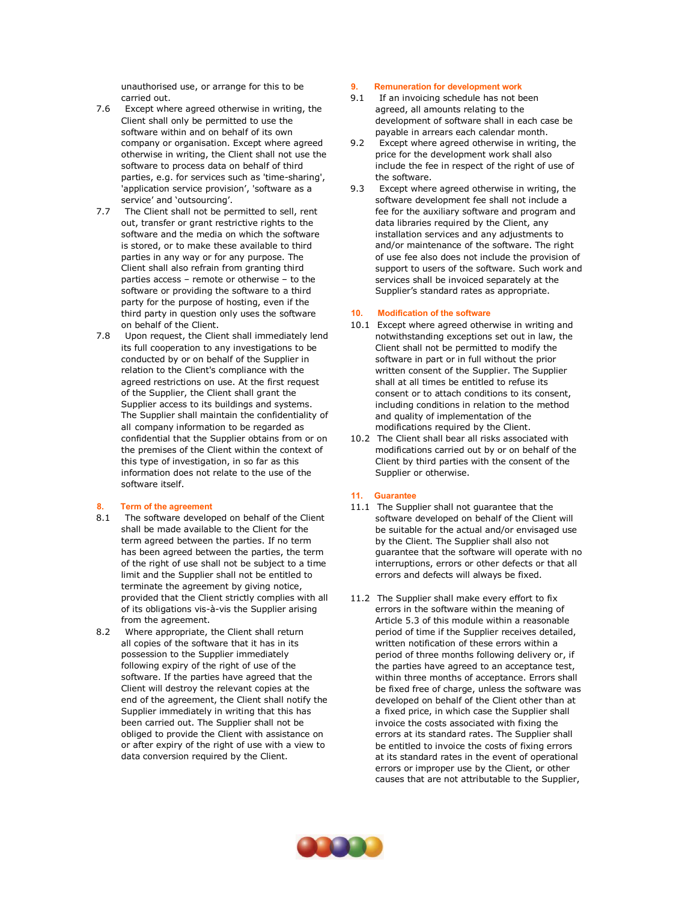unauthorised use, or arrange for this to be carried out.

- 7.6 Except where agreed otherwise in writing, the Client shall only be permitted to use the software within and on behalf of its own company or organisation. Except where agreed otherwise in writing, the Client shall not use the software to process data on behalf of third parties, e.g. for services such as 'time-sharing', 'application service provision', 'software as a service' and 'outsourcing'.
- 7.7 The Client shall not be permitted to sell, rent out, transfer or grant restrictive rights to the software and the media on which the software is stored, or to make these available to third parties in any way or for any purpose. The Client shall also refrain from granting third parties access – remote or otherwise – to the software or providing the software to a third party for the purpose of hosting, even if the third party in question only uses the software on behalf of the Client.
- 7.8 Upon request, the Client shall immediately lend its full cooperation to any investigations to be conducted by or on behalf of the Supplier in relation to the Client's compliance with the agreed restrictions on use. At the first request of the Supplier, the Client shall grant the Supplier access to its buildings and systems. The Supplier shall maintain the confidentiality of all company information to be regarded as confidential that the Supplier obtains from or on the premises of the Client within the context of this type of investigation, in so far as this information does not relate to the use of the software itself.

#### **8. Term of the agreement**

- 8.1 The software developed on behalf of the Client shall be made available to the Client for the term agreed between the parties. If no term has been agreed between the parties, the term of the right of use shall not be subject to a time limit and the Supplier shall not be entitled to terminate the agreement by giving notice, provided that the Client strictly complies with all of its obligations vis-à-vis the Supplier arising from the agreement.
- 8.2 Where appropriate, the Client shall return all copies of the software that it has in its possession to the Supplier immediately following expiry of the right of use of the software. If the parties have agreed that the Client will destroy the relevant copies at the end of the agreement, the Client shall notify the Supplier immediately in writing that this has been carried out. The Supplier shall not be obliged to provide the Client with assistance on or after expiry of the right of use with a view to data conversion required by the Client.

#### **9. Remuneration for development work**

- 9.1 If an invoicing schedule has not been agreed, all amounts relating to the development of software shall in each case be payable in arrears each calendar month.
- 9.2 Except where agreed otherwise in writing, the price for the development work shall also include the fee in respect of the right of use of the software.
- 9.3 Except where agreed otherwise in writing, the software development fee shall not include a fee for the auxiliary software and program and data libraries required by the Client, any installation services and any adjustments to and/or maintenance of the software. The right of use fee also does not include the provision of support to users of the software. Such work and services shall be invoiced separately at the Supplier's standard rates as appropriate.

#### **10. Modification of the software**

- 10.1 Except where agreed otherwise in writing and notwithstanding exceptions set out in law, the Client shall not be permitted to modify the software in part or in full without the prior written consent of the Supplier. The Supplier shall at all times be entitled to refuse its consent or to attach conditions to its consent, including conditions in relation to the method and quality of implementation of the modifications required by the Client.
- 10.2 The Client shall bear all risks associated with modifications carried out by or on behalf of the Client by third parties with the consent of the Supplier or otherwise.

### **11. Guarantee**

- 11.1 The Supplier shall not guarantee that the software developed on behalf of the Client will be suitable for the actual and/or envisaged use by the Client. The Supplier shall also not guarantee that the software will operate with no interruptions, errors or other defects or that all errors and defects will always be fixed.
- 11.2 The Supplier shall make every effort to fix errors in the software within the meaning of Article 5.3 of this module within a reasonable period of time if the Supplier receives detailed, written notification of these errors within a period of three months following delivery or, if the parties have agreed to an acceptance test, within three months of acceptance. Errors shall be fixed free of charge, unless the software was developed on behalf of the Client other than at a fixed price, in which case the Supplier shall invoice the costs associated with fixing the errors at its standard rates. The Supplier shall be entitled to invoice the costs of fixing errors at its standard rates in the event of operational errors or improper use by the Client, or other causes that are not attributable to the Supplier,

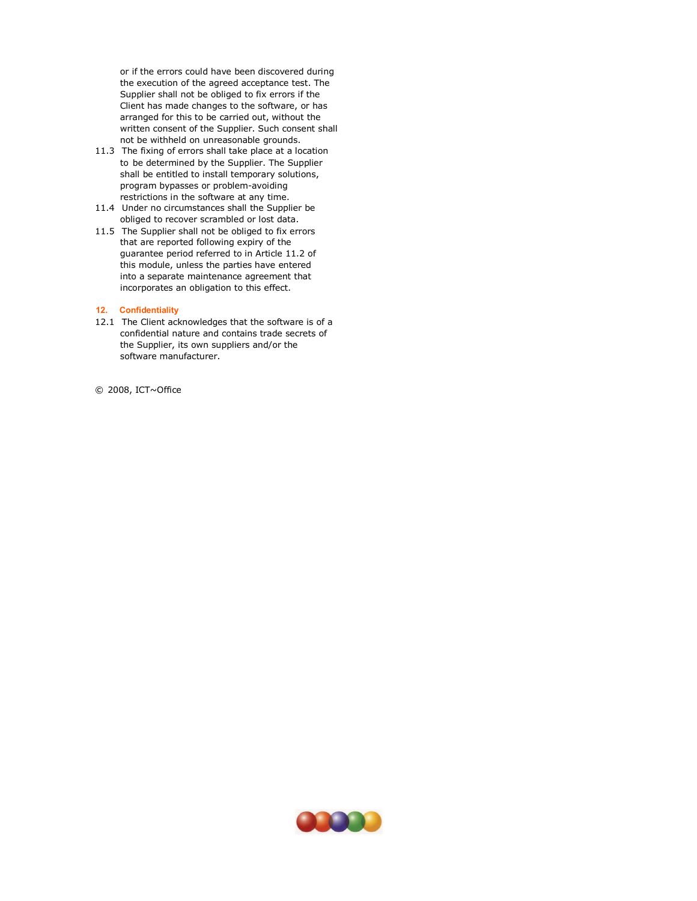or if the errors could have been discovered during the execution of the agreed acceptance test. The Supplier shall not be obliged to fix errors if the Client has made changes to the software, or has arranged for this to be carried out, without the written consent of the Supplier. Such consent shall not be withheld on unreasonable grounds.

- 11.3 The fixing of errors shall take place at a location to be determined by the Supplier. The Supplier shall be entitled to install temporary solutions, program bypasses or problem-avoiding restrictions in the software at any time.
- 11.4 Under no circumstances shall the Supplier be obliged to recover scrambled or lost data.
- 11.5 The Supplier shall not be obliged to fix errors that are reported following expiry of the guarantee period referred to in Article 11.2 of this module, unless the parties have entered into a separate maintenance agreement that incorporates an obligation to this effect.

#### **12. Confidentiality**

12.1 The Client acknowledges that the software is of a confidential nature and contains trade secrets of the Supplier, its own suppliers and/or the software manufacturer.

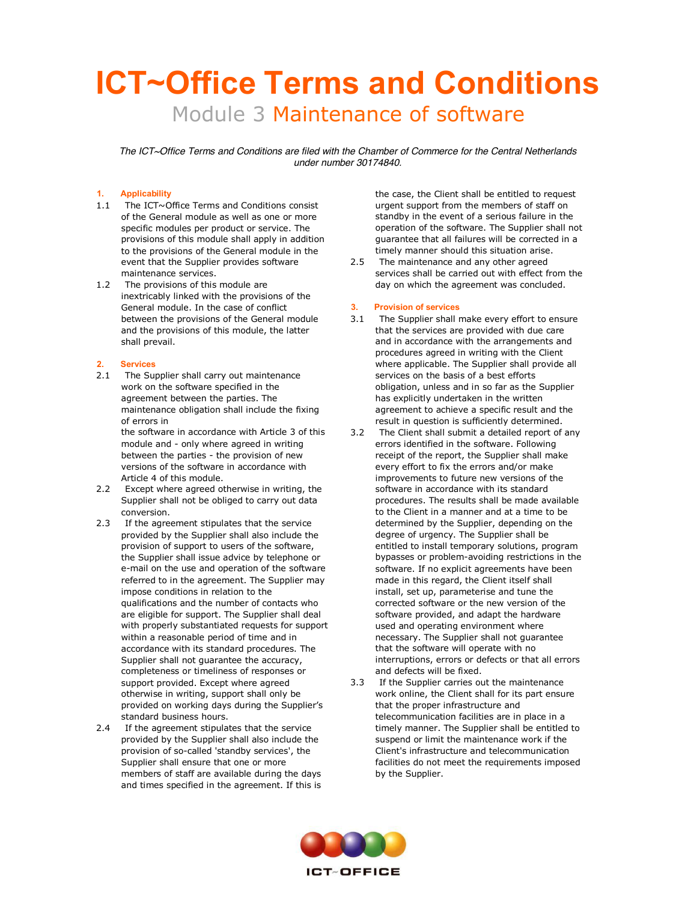# **ICT~Office Terms and Conditions** Module 3 Maintenance of software

*The ICT~Office Terms and Conditions are filed with the Chamber of Commerce for the Central Netherlands under number 30174840.*

# **1. Applicability**

- 1.1 The ICT~Office Terms and Conditions consist of the General module as well as one or more specific modules per product or service. The provisions of this module shall apply in addition to the provisions of the General module in the event that the Supplier provides software maintenance services.
- 1.2 The provisions of this module are inextricably linked with the provisions of the General module. In the case of conflict between the provisions of the General module and the provisions of this module, the latter shall prevail.

#### **2. Services**

2.1 The Supplier shall carry out maintenance work on the software specified in the agreement between the parties. The maintenance obligation shall include the fixing of errors in

the software in accordance with Article 3 of this module and - only where agreed in writing between the parties - the provision of new versions of the software in accordance with Article 4 of this module.

- 2.2 Except where agreed otherwise in writing, the Supplier shall not be obliged to carry out data conversion.
- 2.3 If the agreement stipulates that the service provided by the Supplier shall also include the provision of support to users of the software, the Supplier shall issue advice by telephone or e-mail on the use and operation of the software referred to in the agreement. The Supplier may impose conditions in relation to the qualifications and the number of contacts who are eligible for support. The Supplier shall deal with properly substantiated requests for support within a reasonable period of time and in accordance with its standard procedures. The Supplier shall not guarantee the accuracy, completeness or timeliness of responses or support provided. Except where agreed otherwise in writing, support shall only be provided on working days during the Supplier's standard business hours.
- 2.4 If the agreement stipulates that the service provided by the Supplier shall also include the provision of so-called 'standby services', the Supplier shall ensure that one or more members of staff are available during the days and times specified in the agreement. If this is

the case, the Client shall be entitled to request urgent support from the members of staff on standby in the event of a serious failure in the operation of the software. The Supplier shall not guarantee that all failures will be corrected in a timely manner should this situation arise.

2.5 The maintenance and any other agreed services shall be carried out with effect from the day on which the agreement was concluded.

#### **3. Provision of services**

- 3.1 The Supplier shall make every effort to ensure that the services are provided with due care and in accordance with the arrangements and procedures agreed in writing with the Client where applicable. The Supplier shall provide all services on the basis of a best efforts obligation, unless and in so far as the Supplier has explicitly undertaken in the written agreement to achieve a specific result and the result in question is sufficiently determined.
- 3.2 The Client shall submit a detailed report of any errors identified in the software. Following receipt of the report, the Supplier shall make every effort to fix the errors and/or make improvements to future new versions of the software in accordance with its standard procedures. The results shall be made available to the Client in a manner and at a time to be determined by the Supplier, depending on the degree of urgency. The Supplier shall be entitled to install temporary solutions, program bypasses or problem-avoiding restrictions in the software. If no explicit agreements have been made in this regard, the Client itself shall install, set up, parameterise and tune the corrected software or the new version of the software provided, and adapt the hardware used and operating environment where necessary. The Supplier shall not guarantee that the software will operate with no interruptions, errors or defects or that all errors and defects will be fixed.
- 3.3 If the Supplier carries out the maintenance work online, the Client shall for its part ensure that the proper infrastructure and telecommunication facilities are in place in a timely manner. The Supplier shall be entitled to suspend or limit the maintenance work if the Client's infrastructure and telecommunication facilities do not meet the requirements imposed by the Supplier.

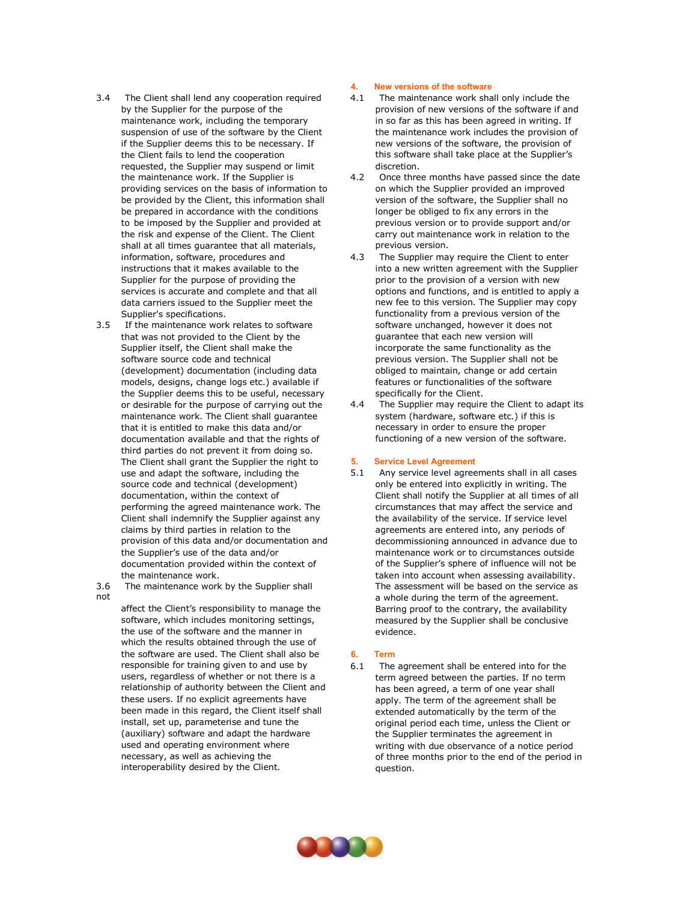- 3.4 The Client shall lend any cooperation required by the Supplier for the purpose of the maintenance work, including the temporary suspension of use of the software by the Client if the Supplier deems this to be necessary. If the Client fails to lend the cooperation requested, the Supplier may suspend or limit the maintenance work. If the Supplier is providing services on the basis of information to be provided by the Client, this information shall be prepared in accordance with the conditions to be imposed by the Supplier and provided at the risk and expense of the Client. The Client shall at all times guarantee that all materials, information, software, procedures and instructions that it makes available to the Supplier for the purpose of providing the services is accurate and complete and that all data carriers issued to the Supplier meet the Supplier's specifications.
- 3.5 If the maintenance work relates to software that was not provided to the Client by the Supplier itself, the Client shall make the software source code and technical (development) documentation (including data models, designs, change logs etc.) available if the Supplier deems this to be useful, necessary or desirable for the purpose of carrying out the maintenance work. The Client shall guarantee that it is entitled to make this data and/or documentation available and that the rights of third parties do not prevent it from doing so. The Client shall grant the Supplier the right to use and adapt the software, including the source code and technical (development) documentation, within the context of performing the agreed maintenance work. The Client shall indemnify the Supplier against any claims by third parties in relation to the provision of this data and/or documentation and the Supplier's use of the data and/or documentation provided within the context of the maintenance work.
- not

3.6 The maintenance work by the Supplier shall

affect the Client's responsibility to manage the software, which includes monitoring settings, the use of the software and the manner in which the results obtained through the use of the software are used. The Client shall also be responsible for training given to and use by users, regardless of whether or not there is a relationship of authority between the Client and these users. If no explicit agreements have been made in this regard, the Client itself shall install, set up, parameterise and tune the (auxiliary) software and adapt the hardware used and operating environment where necessary, as well as achieving the interoperability desired by the Client.

#### **4. New versions of the software**

- 4.1 The maintenance work shall only include the provision of new versions of the software if and in so far as this has been agreed in writing. If the maintenance work includes the provision of new versions of the software, the provision of this software shall take place at the Supplier's discretion.
- 4.2 Once three months have passed since the date on which the Supplier provided an improved version of the software, the Supplier shall no longer be obliged to fix any errors in the previous version or to provide support and/or carry out maintenance work in relation to the previous version.
- 4.3 The Supplier may require the Client to enter into a new written agreement with the Supplier prior to the provision of a version with new options and functions, and is entitled to apply a new fee to this version. The Supplier may copy functionality from a previous version of the software unchanged, however it does not guarantee that each new version will incorporate the same functionality as the previous version. The Supplier shall not be obliged to maintain, change or add certain features or functionalities of the software specifically for the Client.
- 4.4 The Supplier may require the Client to adapt its system (hardware, software etc.) if this is necessary in order to ensure the proper functioning of a new version of the software.

#### **5. Service Level Agreement**

5.1 Any service level agreements shall in all cases only be entered into explicitly in writing. The Client shall notify the Supplier at all times of all circumstances that may affect the service and the availability of the service. If service level agreements are entered into, any periods of decommissioning announced in advance due to maintenance work or to circumstances outside of the Supplier's sphere of influence will not be taken into account when assessing availability. The assessment will be based on the service as a whole during the term of the agreement. Barring proof to the contrary, the availability measured by the Supplier shall be conclusive evidence.

# **6. Term**

6.1 The agreement shall be entered into for the term agreed between the parties. If no term has been agreed, a term of one year shall apply. The term of the agreement shall be extended automatically by the term of the original period each time, unless the Client or the Supplier terminates the agreement in writing with due observance of a notice period of three months prior to the end of the period in question.

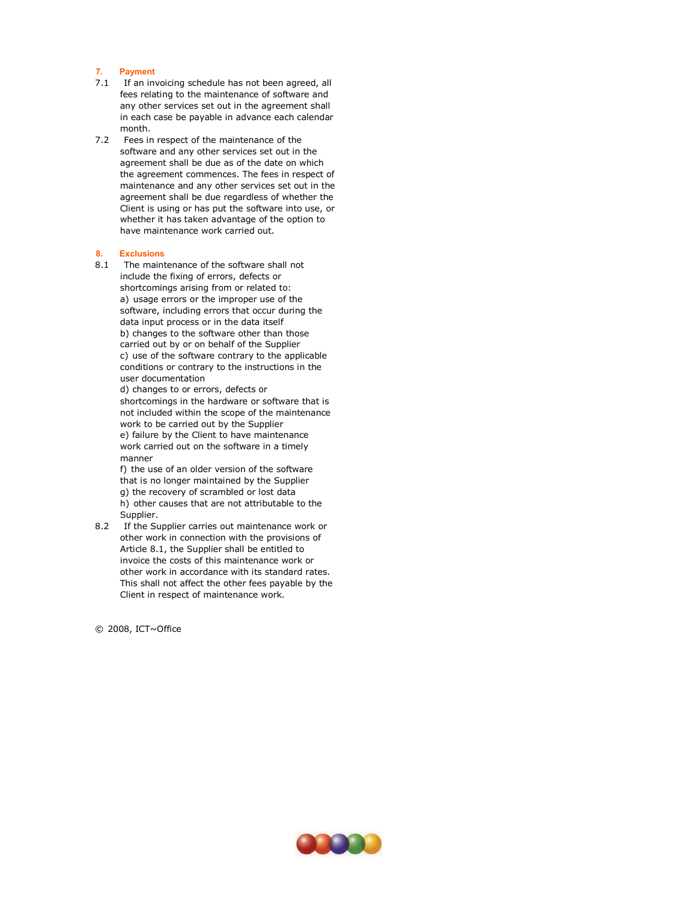#### **7. Payment**

- 7.1 If an invoicing schedule has not been agreed, all fees relating to the maintenance of software and any other services set out in the agreement shall in each case be payable in advance each calendar month.
- 7.2 Fees in respect of the maintenance of the software and any other services set out in the agreement shall be due as of the date on which the agreement commences. The fees in respect of maintenance and any other services set out in the agreement shall be due regardless of whether the Client is using or has put the software into use, or whether it has taken advantage of the option to have maintenance work carried out.

#### **8. Exclusions**

8.1 The maintenance of the software shall not include the fixing of errors, defects or shortcomings arising from or related to: a) usage errors or the improper use of the software, including errors that occur during the data input process or in the data itself b) changes to the software other than those carried out by or on behalf of the Supplier c) use of the software contrary to the applicable conditions or contrary to the instructions in the user documentation

d) changes to or errors, defects or shortcomings in the hardware or software that is not included within the scope of the maintenance work to be carried out by the Supplier e) failure by the Client to have maintenance work carried out on the software in a timely manner

f) the use of an older version of the software that is no longer maintained by the Supplier g) the recovery of scrambled or lost data h) other causes that are not attributable to the Supplier.

8.2 If the Supplier carries out maintenance work or other work in connection with the provisions of Article 8.1, the Supplier shall be entitled to invoice the costs of this maintenance work or other work in accordance with its standard rates. This shall not affect the other fees payable by the Client in respect of maintenance work.

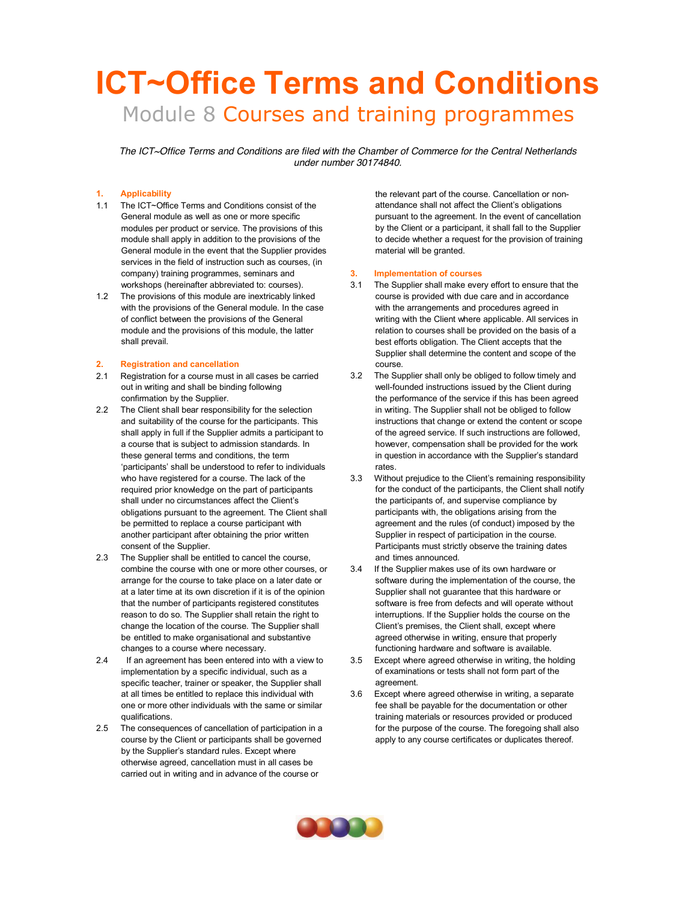# **ICT~Office Terms and Conditions** Module 8 Courses and training programmes

*The ICT~Office Terms and Conditions are filed with the Chamber of Commerce for the Central Netherlands under number 30174840.*

# **1. Applicability**

- 1.1 The ICT~Office Terms and Conditions consist of the General module as well as one or more specific modules per product or service. The provisions of this module shall apply in addition to the provisions of the General module in the event that the Supplier provides services in the field of instruction such as courses, (in company) training programmes, seminars and workshops (hereinafter abbreviated to: courses).
- 1.2 The provisions of this module are inextricably linked with the provisions of the General module. In the case of conflict between the provisions of the General module and the provisions of this module, the latter shall prevail.

#### **2. Registration and cancellation**

- 2.1 Registration for a course must in all cases be carried out in writing and shall be binding following confirmation by the Supplier.
- 2.2 The Client shall bear responsibility for the selection and suitability of the course for the participants. This shall apply in full if the Supplier admits a participant to a course that is subject to admission standards. In these general terms and conditions, the term 'participants' shall be understood to refer to individuals who have registered for a course. The lack of the required prior knowledge on the part of participants shall under no circumstances affect the Client's obligations pursuant to the agreement. The Client shall be permitted to replace a course participant with another participant after obtaining the prior written consent of the Supplier.
- 2.3 The Supplier shall be entitled to cancel the course, combine the course with one or more other courses, or arrange for the course to take place on a later date or at a later time at its own discretion if it is of the opinion that the number of participants registered constitutes reason to do so. The Supplier shall retain the right to change the location of the course. The Supplier shall be entitled to make organisational and substantive changes to a course where necessary.
- 2.4 If an agreement has been entered into with a view to implementation by a specific individual, such as a specific teacher, trainer or speaker, the Supplier shall at all times be entitled to replace this individual with one or more other individuals with the same or similar qualifications.
- 2.5 The consequences of cancellation of participation in a course by the Client or participants shall be governed by the Supplier's standard rules. Except where otherwise agreed, cancellation must in all cases be carried out in writing and in advance of the course or

the relevant part of the course. Cancellation or nonattendance shall not affect the Client's obligations pursuant to the agreement. In the event of cancellation by the Client or a participant, it shall fall to the Supplier to decide whether a request for the provision of training material will be granted.

#### **3. Implementation of courses**

- 3.1 The Supplier shall make every effort to ensure that the course is provided with due care and in accordance with the arrangements and procedures agreed in writing with the Client where applicable. All services in relation to courses shall be provided on the basis of a best efforts obligation. The Client accepts that the Supplier shall determine the content and scope of the course.
- 3.2 The Supplier shall only be obliged to follow timely and well-founded instructions issued by the Client during the performance of the service if this has been agreed in writing. The Supplier shall not be obliged to follow instructions that change or extend the content or scope of the agreed service. If such instructions are followed, however, compensation shall be provided for the work in question in accordance with the Supplier's standard rates.
- 3.3 Without prejudice to the Client's remaining responsibility for the conduct of the participants, the Client shall notify the participants of, and supervise compliance by participants with, the obligations arising from the agreement and the rules (of conduct) imposed by the Supplier in respect of participation in the course. Participants must strictly observe the training dates and times announced.
- 3.4 If the Supplier makes use of its own hardware or software during the implementation of the course, the Supplier shall not guarantee that this hardware or software is free from defects and will operate without interruptions. If the Supplier holds the course on the Client's premises, the Client shall, except where agreed otherwise in writing, ensure that properly functioning hardware and software is available.
- 3.5 Except where agreed otherwise in writing, the holding of examinations or tests shall not form part of the agreement.
- 3.6 Except where agreed otherwise in writing, a separate fee shall be payable for the documentation or other training materials or resources provided or produced for the purpose of the course. The foregoing shall also apply to any course certificates or duplicates thereof.

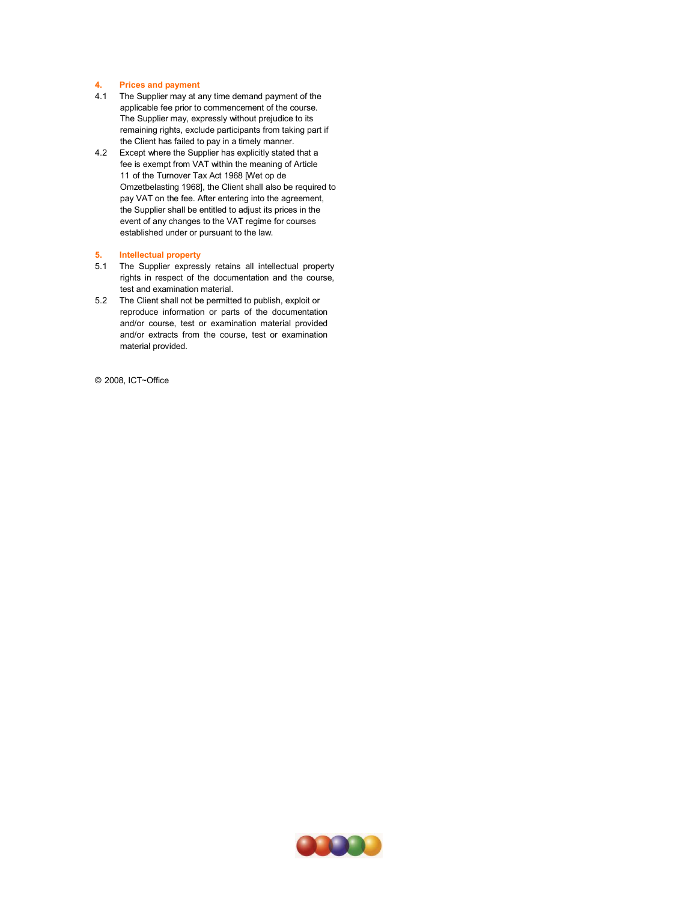# **4. Prices and payment**

- 4.1 The Supplier may at any time demand payment of the applicable fee prior to commencement of the course. The Supplier may, expressly without prejudice to its remaining rights, exclude participants from taking part if the Client has failed to pay in a timely manner.
- 4.2 Except where the Supplier has explicitly stated that a fee is exempt from VAT within the meaning of Article 11 of the Turnover Tax Act 1968 [Wet op de Omzetbelasting 1968], the Client shall also be required to pay VAT on the fee. After entering into the agreement, the Supplier shall be entitled to adjust its prices in the event of any changes to the VAT regime for courses established under or pursuant to the law.

## **5. Intellectual property**

- 5.1 The Supplier expressly retains all intellectual property rights in respect of the documentation and the course, test and examination material.
- 5.2 The Client shall not be permitted to publish, exploit or reproduce information or parts of the documentation and/or course, test or examination material provided and/or extracts from the course, test or examination material provided.

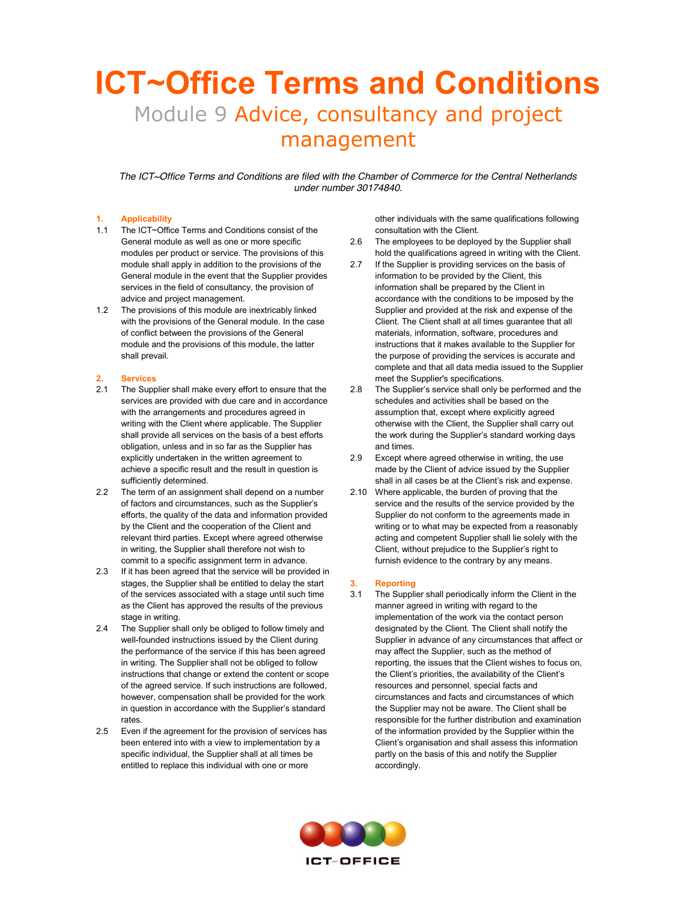# **ICT~Office Terms and Conditions**  Module 9 Advice, consultancy and project management

*The ICT~Office Terms and Conditions are filed with the Chamber of Commerce for the Central Netherlands under number 30174840.*

#### **1. Applicability**

- 1.1 The ICT~Office Terms and Conditions consist of the General module as well as one or more specific modules per product or service. The provisions of this module shall apply in addition to the provisions of the General module in the event that the Supplier provides services in the field of consultancy, the provision of advice and project management.
- 1.2 The provisions of this module are inextricably linked with the provisions of the General module. In the case of conflict between the provisions of the General module and the provisions of this module, the latter shall prevail.

#### **2. Services**

- 2.1 The Supplier shall make every effort to ensure that the services are provided with due care and in accordance with the arrangements and procedures agreed in writing with the Client where applicable. The Supplier shall provide all services on the basis of a best efforts obligation, unless and in so far as the Supplier has explicitly undertaken in the written agreement to achieve a specific result and the result in question is sufficiently determined.
- 2.2 The term of an assignment shall depend on a number of factors and circumstances, such as the Supplier's efforts, the quality of the data and information provided by the Client and the cooperation of the Client and relevant third parties. Except where agreed otherwise in writing, the Supplier shall therefore not wish to commit to a specific assignment term in advance.
- 2.3 If it has been agreed that the service will be provided in stages, the Supplier shall be entitled to delay the start of the services associated with a stage until such time as the Client has approved the results of the previous stage in writing.
- 2.4 The Supplier shall only be obliged to follow timely and well-founded instructions issued by the Client during the performance of the service if this has been agreed in writing. The Supplier shall not be obliged to follow instructions that change or extend the content or scope of the agreed service. If such instructions are followed, however, compensation shall be provided for the work in question in accordance with the Supplier's standard rates.
- 2.5 Even if the agreement for the provision of services has been entered into with a view to implementation by a specific individual, the Supplier shall at all times be entitled to replace this individual with one or more

other individuals with the same qualifications following consultation with the Client.

- 2.6 The employees to be deployed by the Supplier shall hold the qualifications agreed in writing with the Client.
- 2.7 If the Supplier is providing services on the basis of information to be provided by the Client, this information shall be prepared by the Client in accordance with the conditions to be imposed by the Supplier and provided at the risk and expense of the Client. The Client shall at all times guarantee that all materials, information, software, procedures and instructions that it makes available to the Supplier for the purpose of providing the services is accurate and complete and that all data media issued to the Supplier meet the Supplier's specifications.
- 2.8 The Supplier's service shall only be performed and the schedules and activities shall be based on the assumption that, except where explicitly agreed otherwise with the Client, the Supplier shall carry out the work during the Supplier's standard working days and times.
- 2.9 Except where agreed otherwise in writing, the use made by the Client of advice issued by the Supplier shall in all cases be at the Client's risk and expense.
- 2.10 Where applicable, the burden of proving that the service and the results of the service provided by the Supplier do not conform to the agreements made in writing or to what may be expected from a reasonably acting and competent Supplier shall lie solely with the Client, without prejudice to the Supplier's right to furnish evidence to the contrary by any means.

#### **3. Reporting**

3.1 The Supplier shall periodically inform the Client in the manner agreed in writing with regard to the implementation of the work via the contact person designated by the Client. The Client shall notify the Supplier in advance of any circumstances that affect or may affect the Supplier, such as the method of reporting, the issues that the Client wishes to focus on, the Client's priorities, the availability of the Client's resources and personnel, special facts and circumstances and facts and circumstances of which the Supplier may not be aware. The Client shall be responsible for the further distribution and examination of the information provided by the Supplier within the Client's organisation and shall assess this information partly on the basis of this and notify the Supplier accordingly.

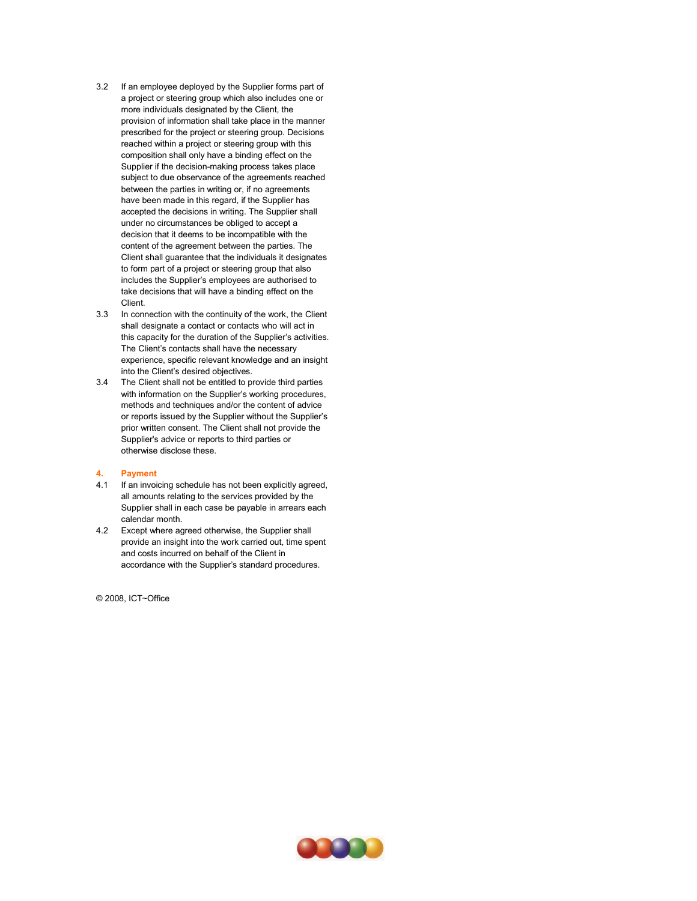- 3.2 If an employee deployed by the Supplier forms part of a project or steering group which also includes one or more individuals designated by the Client, the provision of information shall take place in the manner prescribed for the project or steering group. Decisions reached within a project or steering group with this composition shall only have a binding effect on the Supplier if the decision-making process takes place subject to due observance of the agreements reached between the parties in writing or, if no agreements have been made in this regard, if the Supplier has accepted the decisions in writing. The Supplier shall under no circumstances be obliged to accept a decision that it deems to be incompatible with the content of the agreement between the parties. The Client shall guarantee that the individuals it designates to form part of a project or steering group that also includes the Supplier's employees are authorised to take decisions that will have a binding effect on the Client.
- 3.3 In connection with the continuity of the work, the Client shall designate a contact or contacts who will act in this capacity for the duration of the Supplier's activities. The Client's contacts shall have the necessary experience, specific relevant knowledge and an insight into the Client's desired objectives.
- 3.4 The Client shall not be entitled to provide third parties with information on the Supplier's working procedures, methods and techniques and/or the content of advice or reports issued by the Supplier without the Supplier's prior written consent. The Client shall not provide the Supplier's advice or reports to third parties or otherwise disclose these.

#### **4. Payment**

- 4.1 If an invoicing schedule has not been explicitly agreed, all amounts relating to the services provided by the Supplier shall in each case be payable in arrears each calendar month.
- 4.2 Except where agreed otherwise, the Supplier shall provide an insight into the work carried out, time spent and costs incurred on behalf of the Client in accordance with the Supplier's standard procedures.

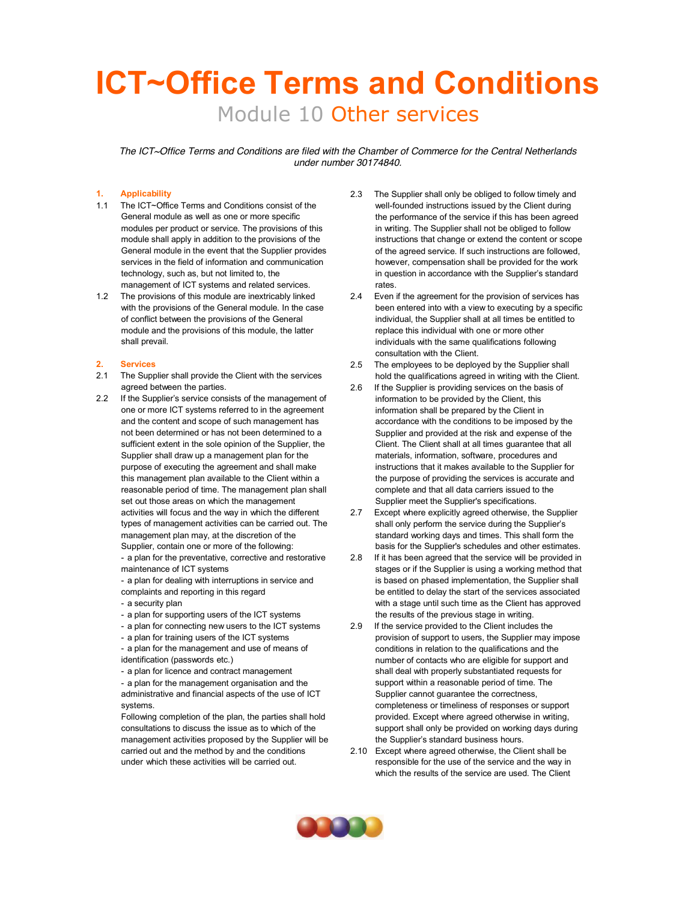# **ICT~Office Terms and Conditions** Module 10 Other services

*The ICT~Office Terms and Conditions are filed with the Chamber of Commerce for the Central Netherlands under number 30174840.*

# **1. Applicability**

- 1.1 The ICT~Office Terms and Conditions consist of the General module as well as one or more specific modules per product or service. The provisions of this module shall apply in addition to the provisions of the General module in the event that the Supplier provides services in the field of information and communication technology, such as, but not limited to, the management of ICT systems and related services.
- 1.2 The provisions of this module are inextricably linked with the provisions of the General module. In the case of conflict between the provisions of the General module and the provisions of this module, the latter shall prevail.

#### **2. Services**

- 2.1 The Supplier shall provide the Client with the services agreed between the parties.
- 2.2 If the Supplier's service consists of the management of one or more ICT systems referred to in the agreement and the content and scope of such management has not been determined or has not been determined to a sufficient extent in the sole opinion of the Supplier, the Supplier shall draw up a management plan for the purpose of executing the agreement and shall make this management plan available to the Client within a reasonable period of time. The management plan shall set out those areas on which the management activities will focus and the way in which the different types of management activities can be carried out. The management plan may, at the discretion of the Supplier, contain one or more of the following:

- a plan for the preventative, corrective and restorative maintenance of ICT systems

- a plan for dealing with interruptions in service and complaints and reporting in this regard

- a security plan
- a plan for supporting users of the ICT systems
- a plan for connecting new users to the ICT systems
- a plan for training users of the ICT systems

- a plan for the management and use of means of identification (passwords etc.)

- a plan for licence and contract management - a plan for the management organisation and the

administrative and financial aspects of the use of ICT systems.

Following completion of the plan, the parties shall hold consultations to discuss the issue as to which of the management activities proposed by the Supplier will be carried out and the method by and the conditions under which these activities will be carried out.

- 2.3 The Supplier shall only be obliged to follow timely and well-founded instructions issued by the Client during the performance of the service if this has been agreed in writing. The Supplier shall not be obliged to follow instructions that change or extend the content or scope of the agreed service. If such instructions are followed, however, compensation shall be provided for the work in question in accordance with the Supplier's standard rates.
- 2.4 Even if the agreement for the provision of services has been entered into with a view to executing by a specific individual, the Supplier shall at all times be entitled to replace this individual with one or more other individuals with the same qualifications following consultation with the Client.
- 2.5 The employees to be deployed by the Supplier shall hold the qualifications agreed in writing with the Client.
- 2.6 If the Supplier is providing services on the basis of information to be provided by the Client, this information shall be prepared by the Client in accordance with the conditions to be imposed by the Supplier and provided at the risk and expense of the Client. The Client shall at all times guarantee that all materials, information, software, procedures and instructions that it makes available to the Supplier for the purpose of providing the services is accurate and complete and that all data carriers issued to the Supplier meet the Supplier's specifications.
- 2.7 Except where explicitly agreed otherwise, the Supplier shall only perform the service during the Supplier's standard working days and times. This shall form the basis for the Supplier's schedules and other estimates.
- 2.8 If it has been agreed that the service will be provided in stages or if the Supplier is using a working method that is based on phased implementation, the Supplier shall be entitled to delay the start of the services associated with a stage until such time as the Client has approved the results of the previous stage in writing.
- 2.9 If the service provided to the Client includes the provision of support to users, the Supplier may impose conditions in relation to the qualifications and the number of contacts who are eligible for support and shall deal with properly substantiated requests for support within a reasonable period of time. The Supplier cannot guarantee the correctness, completeness or timeliness of responses or support provided. Except where agreed otherwise in writing, support shall only be provided on working days during the Supplier's standard business hours.
- 2.10 Except where agreed otherwise, the Client shall be responsible for the use of the service and the way in which the results of the service are used. The Client